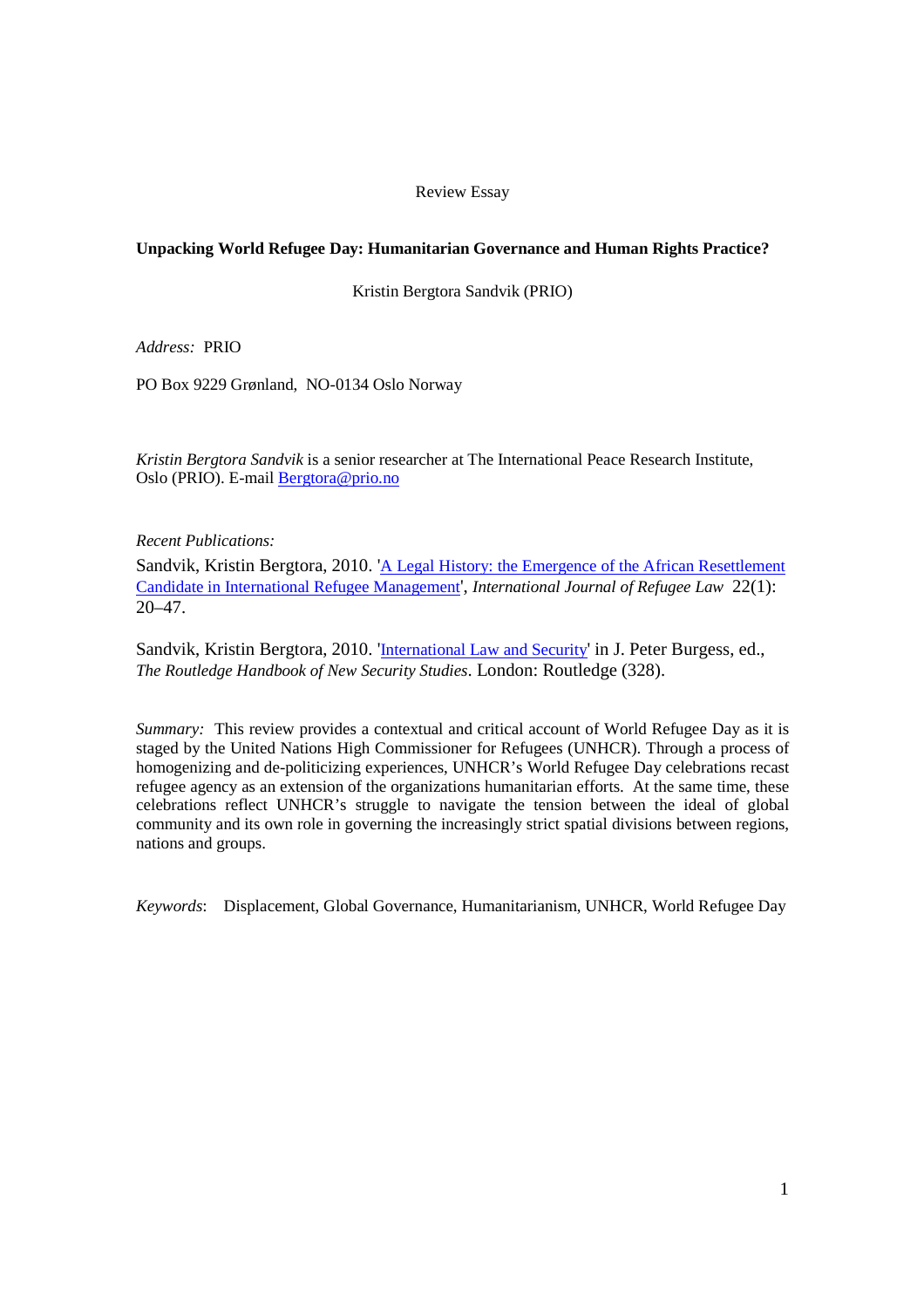## Review Essay

# **Unpacking World Refugee Day: Humanitarian Governance and Human Rights Practice?**

Kristin Bergtora Sandvik (PRIO)

*Address:* PRIO

PO Box 9229 Grønland, NO-0134 Oslo Norway

*Kristin Bergtora Sandvik* is a senior researcher at The International Peace Research Institute, Oslo (PRIO). E-mail Bergtora@prio.no

*Recent Publications:* 

Sandvik, Kristin Bergtora, 2010. 'A Legal History: the Emergence of the African Resettlement Candidate in International Refugee Management', *International Journal of Refugee Law* 22(1): 20–47.

Sandvik, Kristin Bergtora, 2010. 'International Law and Security' in J. Peter Burgess, ed., *The Routledge Handbook of New Security Studies*. London: Routledge (328).

*Summary:* This review provides a contextual and critical account of World Refugee Day as it is staged by the United Nations High Commissioner for Refugees (UNHCR). Through a process of homogenizing and de-politicizing experiences, UNHCR's World Refugee Day celebrations recast refugee agency as an extension of the organizations humanitarian efforts. At the same time, these celebrations reflect UNHCR's struggle to navigate the tension between the ideal of global community and its own role in governing the increasingly strict spatial divisions between regions, nations and groups.

*Keywords*: Displacement, Global Governance, Humanitarianism, UNHCR, World Refugee Day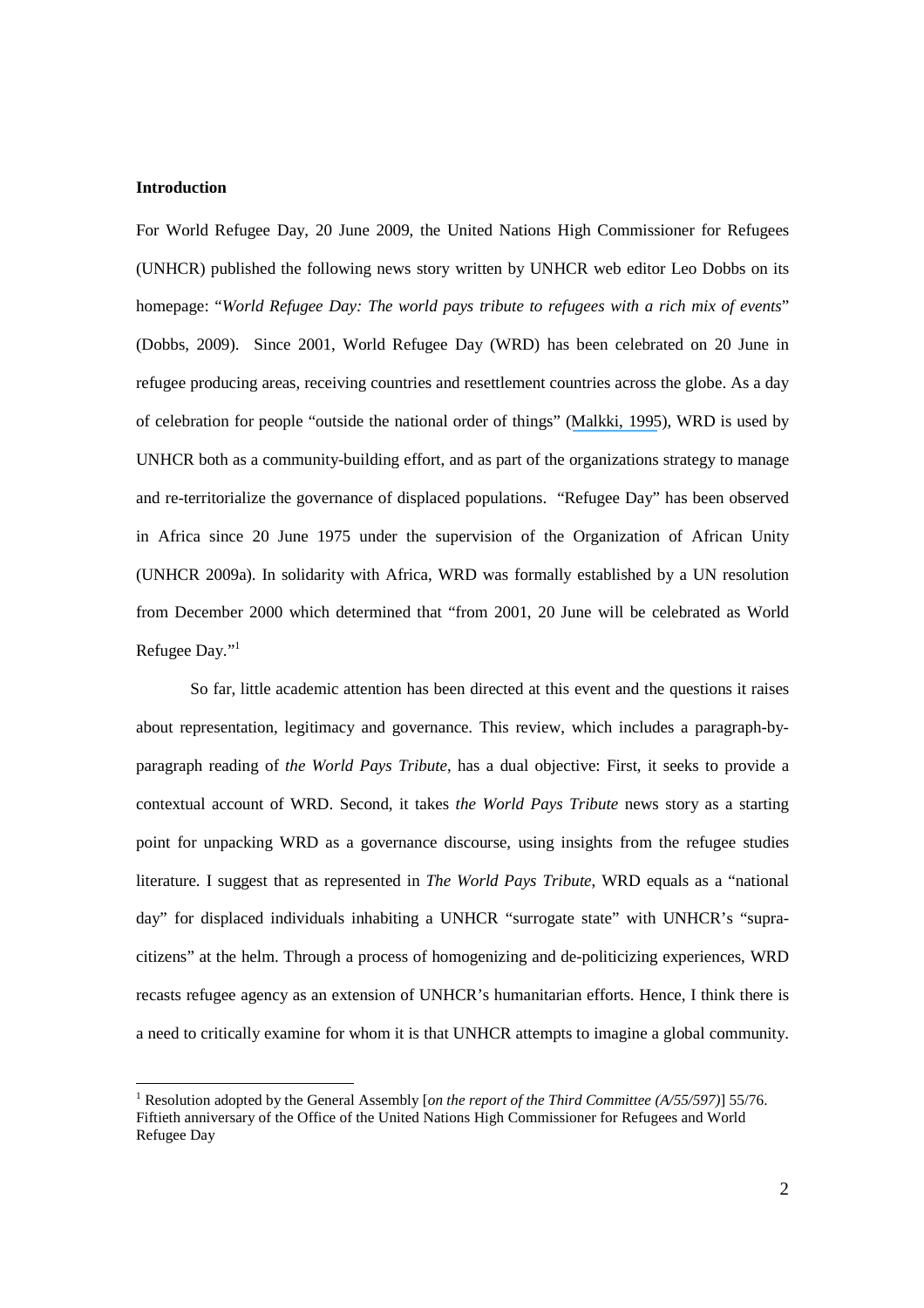### **Introduction**

For World Refugee Day, 20 June 2009, the United Nations High Commissioner for Refugees (UNHCR) published the following news story written by UNHCR web editor Leo Dobbs on its homepage: "*World Refugee Day: The world pays tribute to refugees with a rich mix of events*" (Dobbs, 2009). Since 2001, World Refugee Day (WRD) has been celebrated on 20 June in refugee producing areas, receiving countries and resettlement countries across the globe. As a day of celebration for people "outside the national order of things" ([Malkki, 1995](https://www.researchgate.net/publication/314515553_Purity_and_Exile_Violence_Memory_and_National_Cosmology_Among_Hutu_Refugees_in_Tanzania?el=1_x_8&enrichId=rgreq-6e5167d6e7a3f11ec0be6a6746472a30-XXX&enrichSource=Y292ZXJQYWdlOzI0MDU5MzEwNjtBUzoyNzEwMzQwNDU2OTM5NTJAMTQ0MTYzMDk2MDEzMg==)), WRD is used by UNHCR both as a community-building effort, and as part of the organizations strategy to manage and re-territorialize the governance of displaced populations. "Refugee Day" has been observed in Africa since 20 June 1975 under the supervision of the Organization of African Unity (UNHCR 2009a). In solidarity with Africa, WRD was formally established by a UN resolution from December 2000 which determined that "from 2001, 20 June will be celebrated as World Refugee Day."<sup>1</sup>

So far, little academic attention has been directed at this event and the questions it raises about representation, legitimacy and governance. This review, which includes a paragraph-byparagraph reading of *the World Pays Tribute*, has a dual objective: First, it seeks to provide a contextual account of WRD. Second, it takes *the World Pays Tribute* news story as a starting point for unpacking WRD as a governance discourse, using insights from the refugee studies literature. I suggest that as represented in *The World Pays Tribute*, WRD equals as a "national day" for displaced individuals inhabiting a UNHCR "surrogate state" with UNHCR's "supracitizens" at the helm. Through a process of homogenizing and de-politicizing experiences, WRD recasts refugee agency as an extension of UNHCR's humanitarian efforts. Hence, I think there is a need to critically examine for whom it is that UNHCR attempts to imagine a global community.

 1 Resolution adopted by the General Assembly [*on the report of the Third Committee (A/55/597)*] 55/76. Fiftieth anniversary of the Office of the United Nations High Commissioner for Refugees and World Refugee Day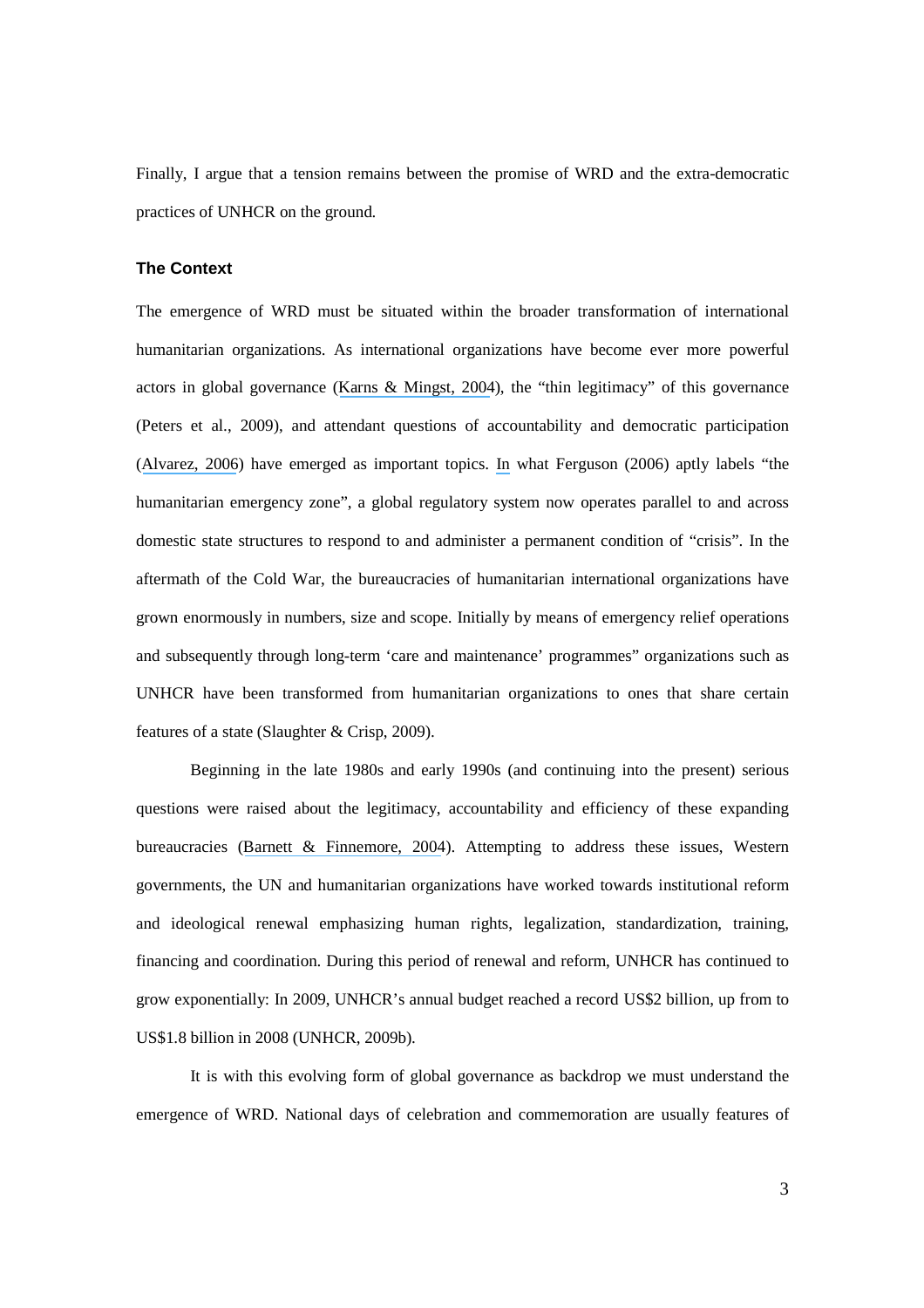Finally, I argue that a tension remains between the promise of WRD and the extra-democratic practices of UNHCR on the ground.

## **The Context**

The emergence of WRD must be situated within the broader transformation of international humanitarian organizations. As international organizations have become ever more powerful actors in global governance (Karns  $\&$  Mingst, 2004), the "thin legitimacy" of this governance (Peters et al., 2009), and attendant questions of accountability and democratic participation ([Alvarez, 2006](https://www.researchgate.net/publication/295585515_International_organizations_Then_and_now?el=1_x_8&enrichId=rgreq-6e5167d6e7a3f11ec0be6a6746472a30-XXX&enrichSource=Y292ZXJQYWdlOzI0MDU5MzEwNjtBUzoyNzEwMzQwNDU2OTM5NTJAMTQ0MTYzMDk2MDEzMg==)) have emerged as important topics. [In](https://www.researchgate.net/publication/37720393_Global_Shadows_Africa_in_the_Neo-Liberal_World_Order?el=1_x_8&enrichId=rgreq-6e5167d6e7a3f11ec0be6a6746472a30-XXX&enrichSource=Y292ZXJQYWdlOzI0MDU5MzEwNjtBUzoyNzEwMzQwNDU2OTM5NTJAMTQ0MTYzMDk2MDEzMg==) what Ferguson (2006) aptly labels "the humanitarian emergency zone", a global regulatory system now operates parallel to and across domestic state structures to respond to and administer a permanent condition of "crisis". In the aftermath of the Cold War, the bureaucracies of humanitarian international organizations have grown enormously in numbers, size and scope. Initially by means of emergency relief operations and subsequently through long-term 'care and maintenance' programmes" organizations such as UNHCR have been transformed from humanitarian organizations to ones that share certain features of a state (Slaughter & Crisp, 2009).

Beginning in the late 1980s and early 1990s (and continuing into the present) serious questions were raised about the legitimacy, accountability and efficiency of these expanding bureaucracies ([Barnett & Finnemore, 2004](https://www.researchgate.net/publication/269532549_Rules_for_the_World_International_Organizations_in_Global_Politics?el=1_x_8&enrichId=rgreq-6e5167d6e7a3f11ec0be6a6746472a30-XXX&enrichSource=Y292ZXJQYWdlOzI0MDU5MzEwNjtBUzoyNzEwMzQwNDU2OTM5NTJAMTQ0MTYzMDk2MDEzMg==)). Attempting to address these issues, Western governments, the UN and humanitarian organizations have worked towards institutional reform and ideological renewal emphasizing human rights, legalization, standardization, training, financing and coordination. During this period of renewal and reform, UNHCR has continued to grow exponentially: In 2009, UNHCR's annual budget reached a record US\$2 billion, up from to US\$1.8 billion in 2008 (UNHCR, 2009b).

It is with this evolving form of global governance as backdrop we must understand the emergence of WRD. National days of celebration and commemoration are usually features of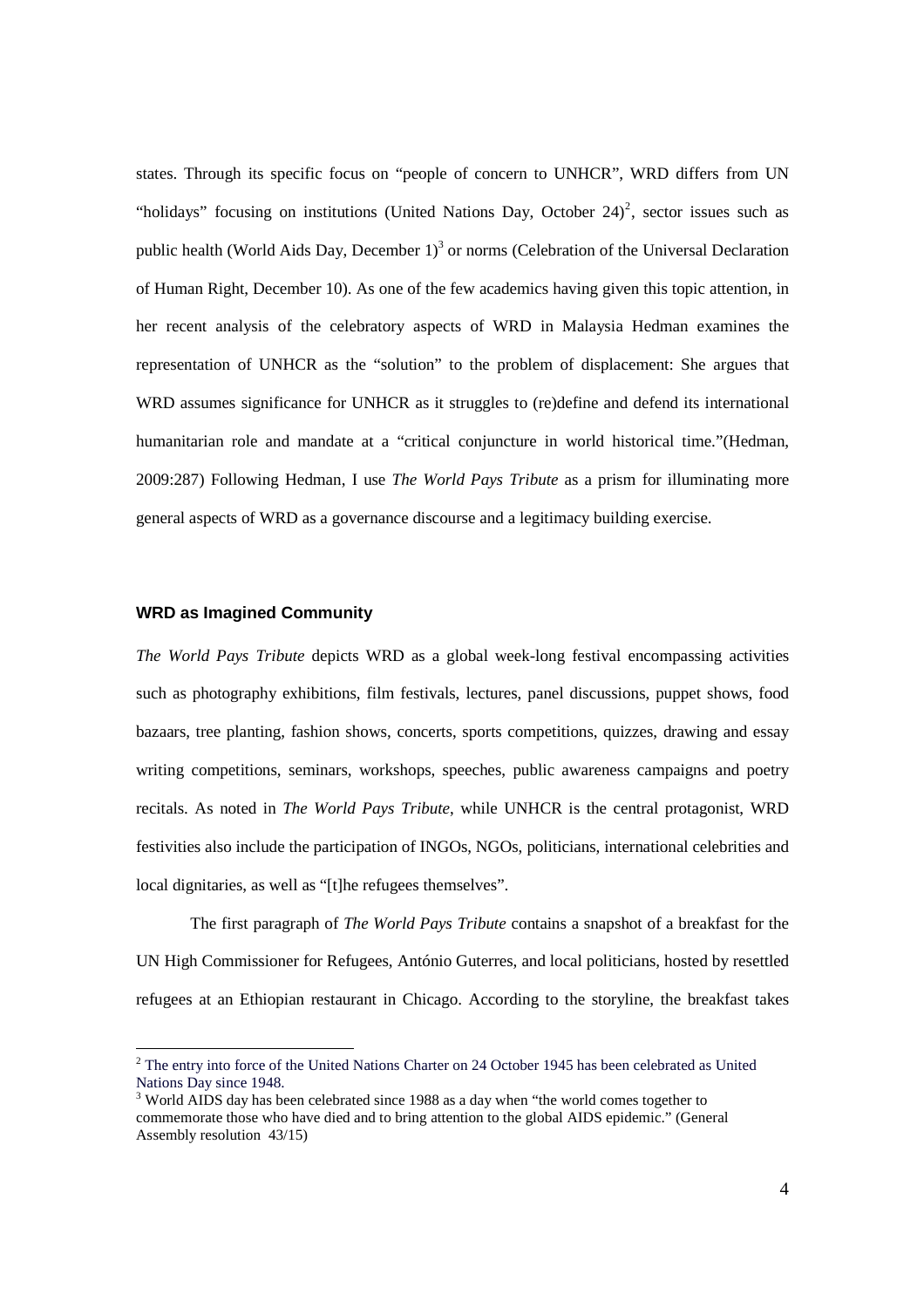states. Through its specific focus on "people of concern to UNHCR", WRD differs from UN "holidays" focusing on institutions (United Nations Day, October 24)<sup>2</sup>, sector issues such as public health (World Aids Day, December  $1$ )<sup>3</sup> or norms (Celebration of the Universal Declaration of Human Right, December 10). As one of the few academics having given this topic attention, in her recent analysis of the celebratory aspects of WRD in Malaysia Hedman examines the representation of UNHCR as the "solution" to the problem of displacement: She argues that WRD assumes significance for UNHCR as it struggles to (re)define and defend its international humanitarian role and mandate at a "critical conjuncture in world historical time."(Hedman, 2009:287) Following Hedman, I use *The World Pays Tribute* as a prism for illuminating more general aspects of WRD as a governance discourse and a legitimacy building exercise.

## **WRD as Imagined Community**

-

*The World Pays Tribute* depicts WRD as a global week-long festival encompassing activities such as photography exhibitions, film festivals, lectures, panel discussions, puppet shows, food bazaars, tree planting, fashion shows, concerts, sports competitions, quizzes, drawing and essay writing competitions, seminars, workshops, speeches, public awareness campaigns and poetry recitals. As noted in *The World Pays Tribute*, while UNHCR is the central protagonist, WRD festivities also include the participation of INGOs, NGOs, politicians, international celebrities and local dignitaries, as well as "[t]he refugees themselves".

The first paragraph of *The World Pays Tribute* contains a snapshot of a breakfast for the UN High Commissioner for Refugees, António Guterres, and local politicians, hosted by resettled refugees at an Ethiopian restaurant in Chicago. According to the storyline, the breakfast takes

 $2^2$  The entry into force of the United Nations Charter on 24 October 1945 has been celebrated as United Nations Day since 1948.

<sup>&</sup>lt;sup>3</sup> World AIDS day has been celebrated since 1988 as a day when "the world comes together to commemorate those who have died and to bring attention to the global AIDS epidemic." (General Assembly resolution 43/15)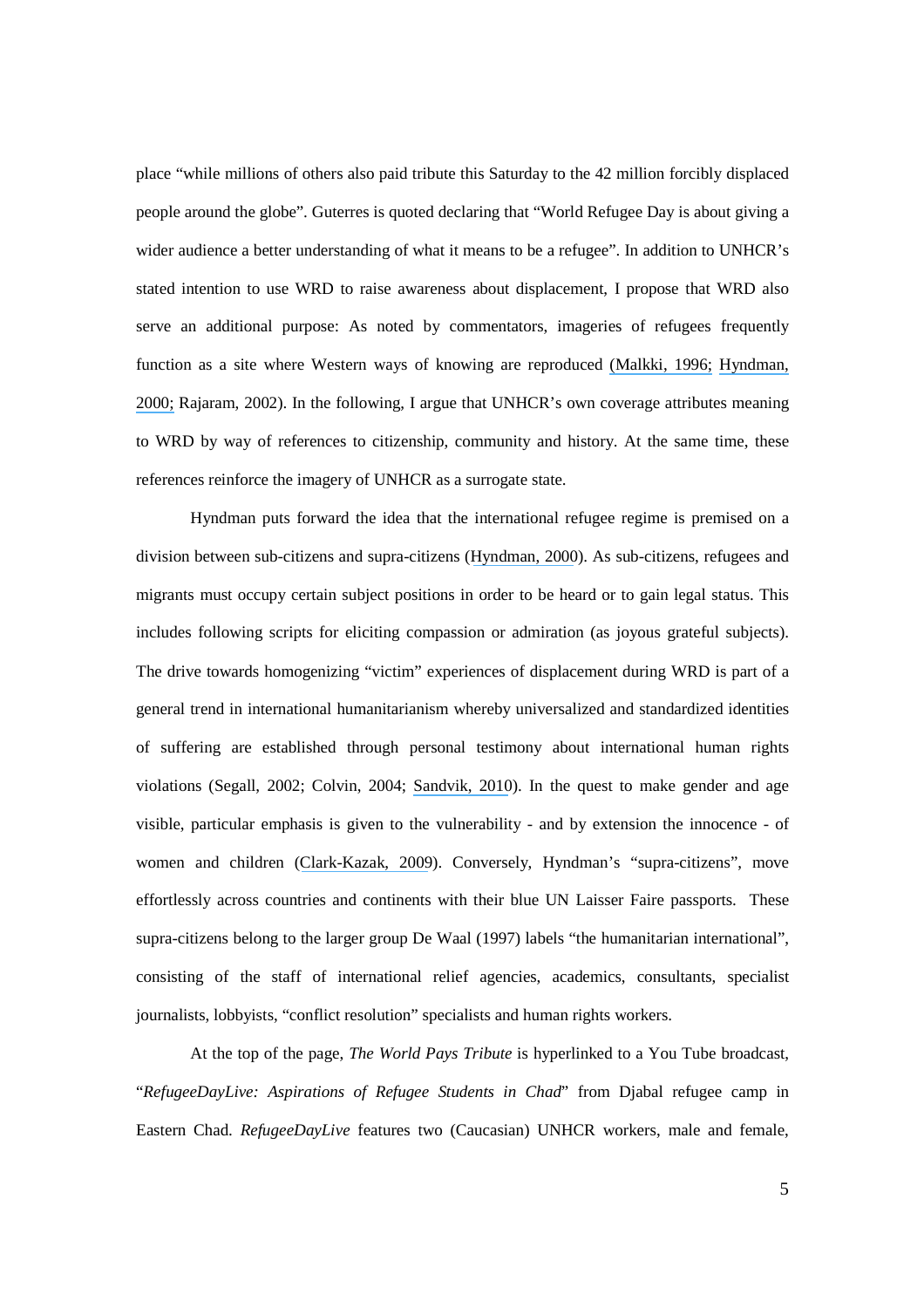place "while millions of others also paid tribute this Saturday to the 42 million forcibly displaced people around the globe". Guterres is quoted declaring that "World Refugee Day is about giving a wider audience a better understanding of what it means to be a refugee". In addition to UNHCR's stated intention to use WRD to raise awareness about displacement, I propose that WRD also serve an additional purpose: As noted by commentators, imageries of refugees frequently function as a site where Western ways of knowing are reproduced [\(M](https://www.researchgate.net/publication/30935354_Humanitarianism_and_Representation_of_the_Refugee?el=1_x_8&enrichId=rgreq-6e5167d6e7a3f11ec0be6a6746472a30-XXX&enrichSource=Y292ZXJQYWdlOzI0MDU5MzEwNjtBUzoyNzEwMzQwNDU2OTM5NTJAMTQ0MTYzMDk2MDEzMg==)[alkki, 1996;](https://www.researchgate.net/publication/249426026_Speechless_Emissaries_Refugees_Humanitarianism_and_Dehistoricization?el=1_x_8&enrichId=rgreq-6e5167d6e7a3f11ec0be6a6746472a30-XXX&enrichSource=Y292ZXJQYWdlOzI0MDU5MzEwNjtBUzoyNzEwMzQwNDU2OTM5NTJAMTQ0MTYzMDk2MDEzMg==) [Hyndman,](https://www.researchgate.net/publication/263843120_Managing_Displacement_Refugees_and_the_Politics_of_Humanitarianism_Borderlines?el=1_x_8&enrichId=rgreq-6e5167d6e7a3f11ec0be6a6746472a30-XXX&enrichSource=Y292ZXJQYWdlOzI0MDU5MzEwNjtBUzoyNzEwMzQwNDU2OTM5NTJAMTQ0MTYzMDk2MDEzMg==) [2000;](https://www.researchgate.net/publication/263843120_Managing_Displacement_Refugees_and_the_Politics_of_Humanitarianism_Borderlines?el=1_x_8&enrichId=rgreq-6e5167d6e7a3f11ec0be6a6746472a30-XXX&enrichSource=Y292ZXJQYWdlOzI0MDU5MzEwNjtBUzoyNzEwMzQwNDU2OTM5NTJAMTQ0MTYzMDk2MDEzMg==) Rajaram, 2002). In the following, I argue that UNHCR's own coverage attributes meaning to WRD by way of references to citizenship, community and history. At the same time, these references reinforce the imagery of UNHCR as a surrogate state.

Hyndman puts forward the idea that the international refugee regime is premised on a division between sub-citizens and supra-citizens ([Hyndman, 2000](https://www.researchgate.net/publication/263843120_Managing_Displacement_Refugees_and_the_Politics_of_Humanitarianism_Borderlines?el=1_x_8&enrichId=rgreq-6e5167d6e7a3f11ec0be6a6746472a30-XXX&enrichSource=Y292ZXJQYWdlOzI0MDU5MzEwNjtBUzoyNzEwMzQwNDU2OTM5NTJAMTQ0MTYzMDk2MDEzMg==)). As sub-citizens, refugees and migrants must occupy certain subject positions in order to be heard or to gain legal status. This includes following scripts for eliciting compassion or admiration (as joyous grateful subjects). The drive towards homogenizing "victim" experiences of displacement during WRD is part of a general trend in international humanitarianism whereby universalized and standardized identities of suffering are established through personal testimony about international human rights violations (Segall, 2002; Colvin, 2004; [Sandvik, 2010](https://www.researchgate.net/publication/266734080_Sandvik_Kristin_Bergtora_Security_and_International_Law_The_Routledge_Handbook_of_New_Security_Studies_2010_110?el=1_x_8&enrichId=rgreq-6e5167d6e7a3f11ec0be6a6746472a30-XXX&enrichSource=Y292ZXJQYWdlOzI0MDU5MzEwNjtBUzoyNzEwMzQwNDU2OTM5NTJAMTQ0MTYzMDk2MDEzMg==)). In the quest to make gender and age visible, particular emphasis is given to the vulnerability - and by extension the innocence - of women and children ([Clark-Kazak, 2009](https://www.researchgate.net/publication/31364164_Representing_Refugees_in_the_Life_Cycle_A_Social_Age_Analysis_of_United_Nations_High_Commissioner_for_Refugees_Annual_Reports_and_Appeals_1999-2008?el=1_x_8&enrichId=rgreq-6e5167d6e7a3f11ec0be6a6746472a30-XXX&enrichSource=Y292ZXJQYWdlOzI0MDU5MzEwNjtBUzoyNzEwMzQwNDU2OTM5NTJAMTQ0MTYzMDk2MDEzMg==)). Conversely, Hyndman's "supra-citizens", move effortlessly across countries and continents with their blue UN Laisser Faire passports. These supra-citizens belong to the larger group De Waal (1997) labels "the humanitarian international", consisting of the staff of international relief agencies, academics, consultants, specialist journalists, lobbyists, "conflict resolution" specialists and human rights workers.

At the top of the page, *The World Pays Tribute* is hyperlinked to a You Tube broadcast, "*RefugeeDayLive: Aspirations of Refugee Students in Chad*" from Djabal refugee camp in Eastern Chad. *RefugeeDayLive* features two (Caucasian) UNHCR workers, male and female,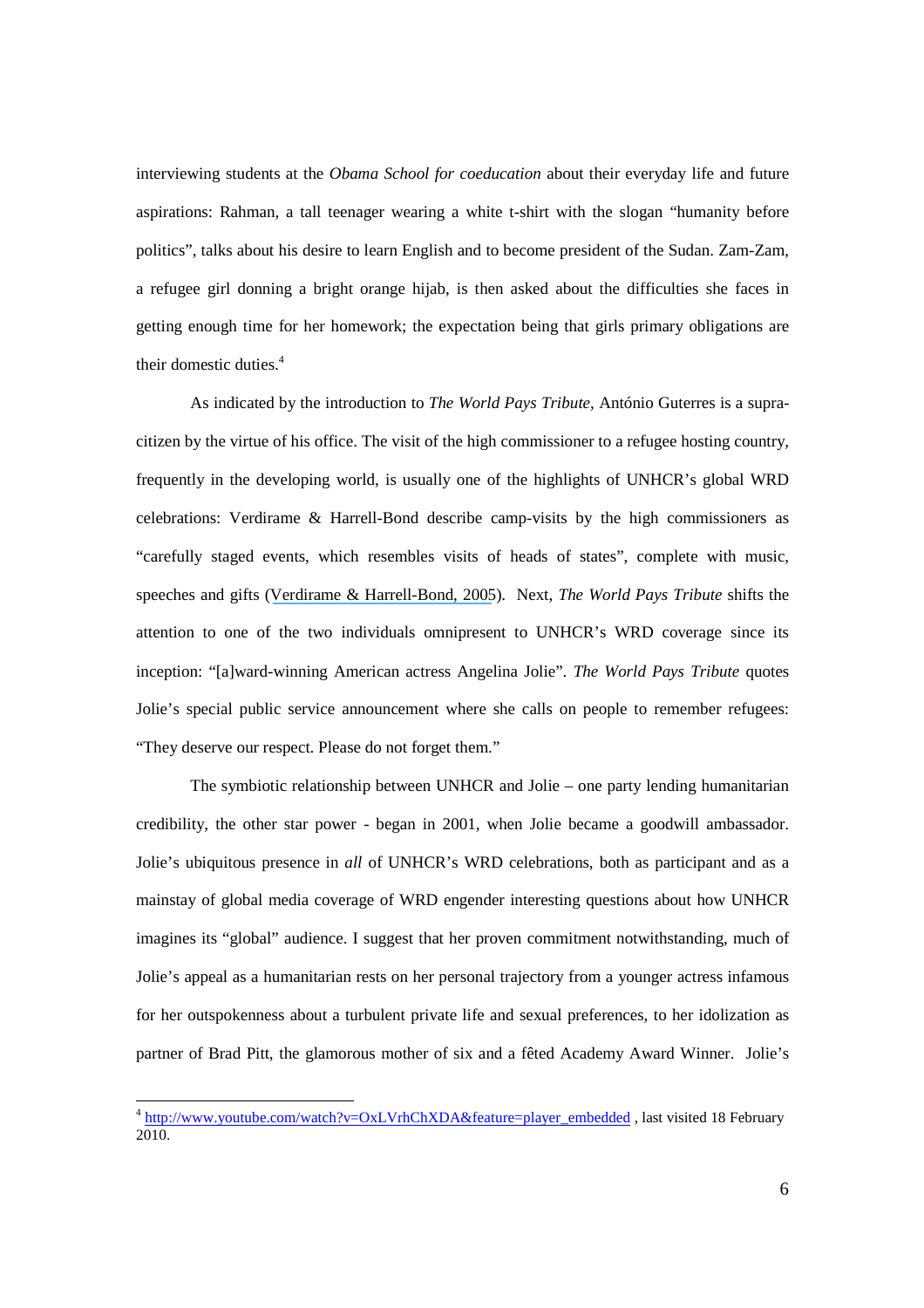interviewing students at the *Obama School for coeducation* about their everyday life and future aspirations: Rahman, a tall teenager wearing a white t-shirt with the slogan "humanity before politics", talks about his desire to learn English and to become president of the Sudan. Zam-Zam, a refugee girl donning a bright orange hijab, is then asked about the difficulties she faces in getting enough time for her homework; the expectation being that girls primary obligations are their domestic duties.<sup>4</sup>

As indicated by the introduction to *The World Pays Tribute*, António Guterres is a supracitizen by the virtue of his office. The visit of the high commissioner to a refugee hosting country, frequently in the developing world, is usually one of the highlights of UNHCR's global WRD celebrations: Verdirame & Harrell-Bond describe camp-visits by the high commissioners as "carefully staged events, which resembles visits of heads of states", complete with music, speeches and gifts ([Verdirame & Harrell-Bond, 2005](https://www.researchgate.net/publication/290976949_Rights_in_exile_Janus-faced_humanitarianism?el=1_x_8&enrichId=rgreq-6e5167d6e7a3f11ec0be6a6746472a30-XXX&enrichSource=Y292ZXJQYWdlOzI0MDU5MzEwNjtBUzoyNzEwMzQwNDU2OTM5NTJAMTQ0MTYzMDk2MDEzMg==)). Next, *The World Pays Tribute* shifts the attention to one of the two individuals omnipresent to UNHCR's WRD coverage since its inception: "[a]ward-winning American actress Angelina Jolie". *The World Pays Tribute* quotes Jolie's special public service announcement where she calls on people to remember refugees: "They deserve our respect. Please do not forget them."

The symbiotic relationship between UNHCR and Jolie – one party lending humanitarian credibility, the other star power - began in 2001, when Jolie became a goodwill ambassador. Jolie's ubiquitous presence in *all* of UNHCR's WRD celebrations, both as participant and as a mainstay of global media coverage of WRD engender interesting questions about how UNHCR imagines its "global" audience. I suggest that her proven commitment notwithstanding, much of Jolie's appeal as a humanitarian rests on her personal trajectory from a younger actress infamous for her outspokenness about a turbulent private life and sexual preferences, to her idolization as partner of Brad Pitt, the glamorous mother of six and a fêted Academy Award Winner. Jolie's

<u>.</u>

<sup>&</sup>lt;sup>4</sup> http://www.youtube.com/watch?v=OxLVrhChXDA&feature=player\_embedded, last visited 18 February 2010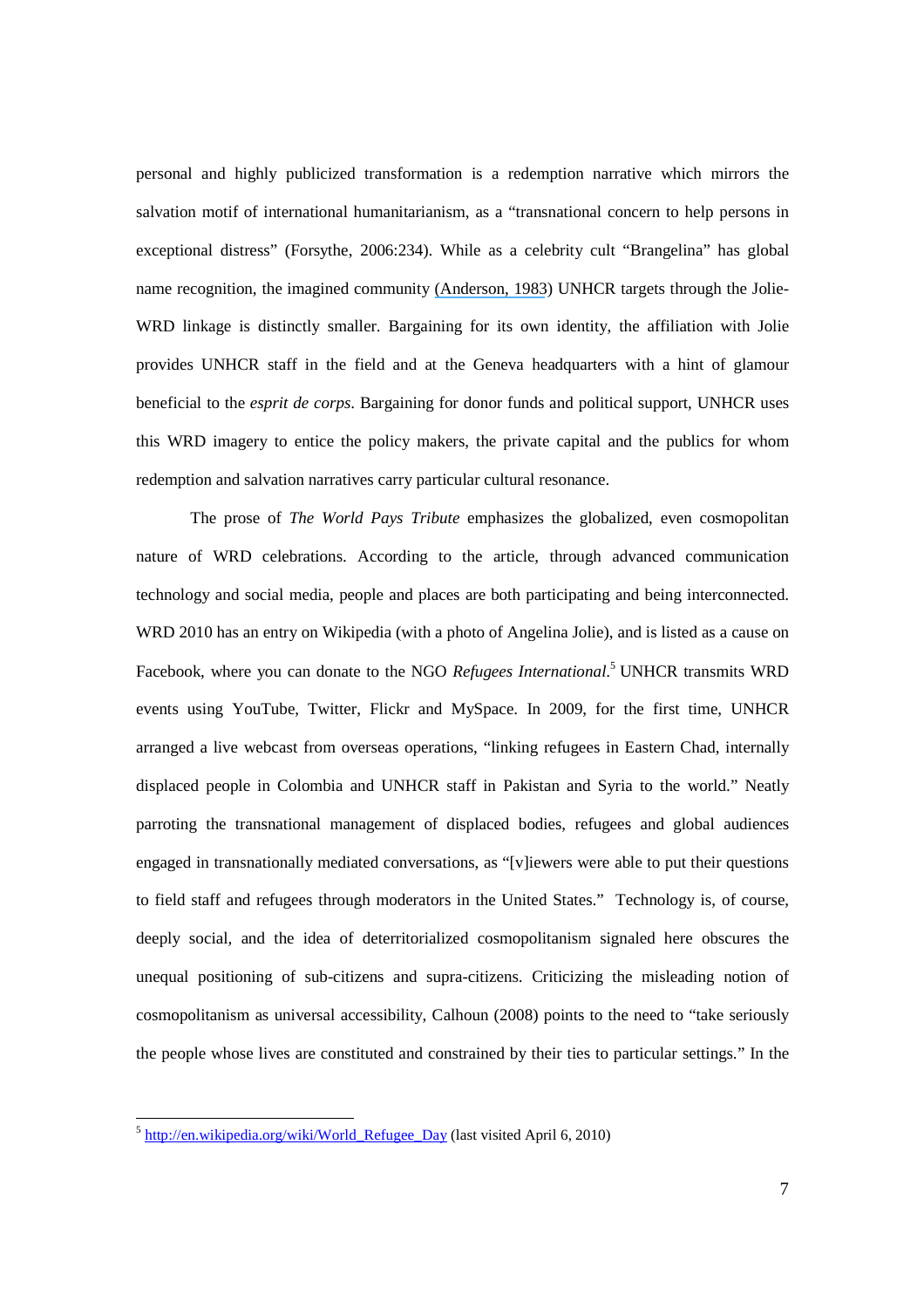personal and highly publicized transformation is a redemption narrative which mirrors the salvation motif of international humanitarianism, as a "transnational concern to help persons in exceptional distress" (Forsythe, 2006:234). While as a celebrity cult "Brangelina" has global name recognition, the imagined community [\(Anderson,](https://www.researchgate.net/publication/200507611_Imagined_Communities_Reflections_on_the_Origin_and_Spread_of_Nationalism?el=1_x_8&enrichId=rgreq-6e5167d6e7a3f11ec0be6a6746472a30-XXX&enrichSource=Y292ZXJQYWdlOzI0MDU5MzEwNjtBUzoyNzEwMzQwNDU2OTM5NTJAMTQ0MTYzMDk2MDEzMg==) [1983](https://www.researchgate.net/publication/31718435_Imagined_Communities_Reflections_on_the_Origin_and_Spread_of_Nationalism?el=1_x_8&enrichId=rgreq-6e5167d6e7a3f11ec0be6a6746472a30-XXX&enrichSource=Y292ZXJQYWdlOzI0MDU5MzEwNjtBUzoyNzEwMzQwNDU2OTM5NTJAMTQ0MTYzMDk2MDEzMg==)) UNHCR targets through the Jolie-WRD linkage is distinctly smaller. Bargaining for its own identity, the affiliation with Jolie provides UNHCR staff in the field and at the Geneva headquarters with a hint of glamour beneficial to the *esprit de corps*. Bargaining for donor funds and political support, UNHCR uses this WRD imagery to entice the policy makers, the private capital and the publics for whom redemption and salvation narratives carry particular cultural resonance.

The prose of *The World Pays Tribute* emphasizes the globalized, even cosmopolitan nature of WRD celebrations. According to the article, through advanced communication technology and social media, people and places are both participating and being interconnected. WRD 2010 has an entry on Wikipedia (with a photo of Angelina Jolie), and is listed as a cause on Facebook, where you can donate to the NGO *Refugees International*. 5 UNHCR transmits WRD events using YouTube, Twitter, Flickr and MySpace. In 2009, for the first time, UNHCR arranged a live webcast from overseas operations, "linking refugees in Eastern Chad, internally displaced people in Colombia and UNHCR staff in Pakistan and Syria to the world." Neatly parroting the transnational management of displaced bodies, refugees and global audiences engaged in transnationally mediated conversations, as "[v]iewers were able to put their questions to field staff and refugees through moderators in the United States." Technology is, of course, deeply social, and the idea of deterritorialized cosmopolitanism signaled here obscures the unequal positioning of sub-citizens and supra-citizens. Criticizing the misleading notion of cosmopolitanism as universal accessibility, Calhoun (2008) points to the need to "take seriously the people whose lives are constituted and constrained by their ties to particular settings." In the

<sup>&</sup>lt;sup>5</sup> http://en.wikipedia.org/wiki/World\_Refugee\_Day (last visited April 6, 2010)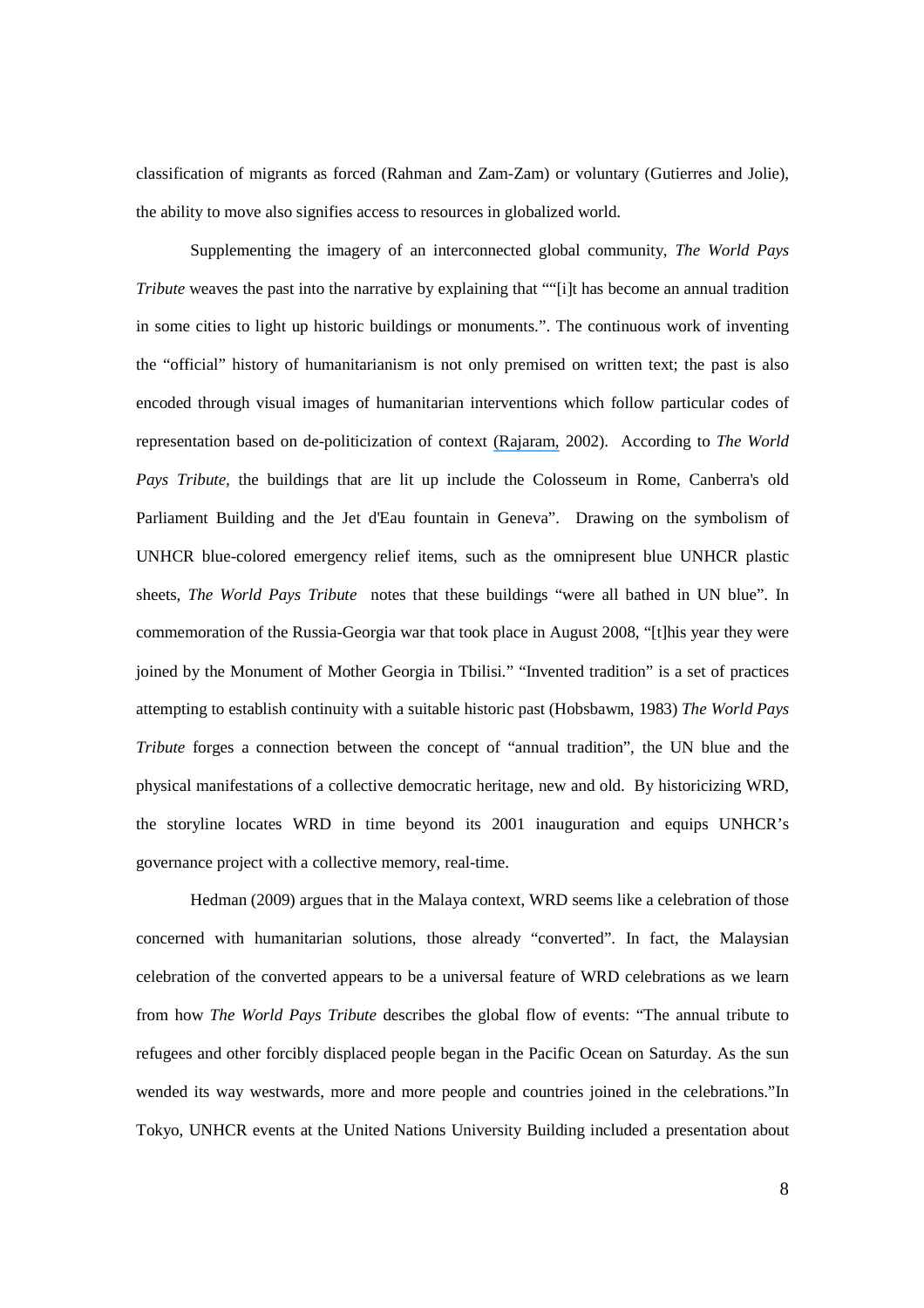classification of migrants as forced (Rahman and Zam-Zam) or voluntary (Gutierres and Jolie), the ability to move also signifies access to resources in globalized world.

Supplementing the imagery of an interconnected global community, *The World Pays Tribute* weaves the past into the narrative by explaining that ""[i]t has become an annual tradition in some cities to light up historic buildings or monuments.". The continuous work of inventing the "official" history of humanitarianism is not only premised on written text; the past is also encoded through visual images of humanitarian interventions which follow particular codes of representation based on de-politicization of context [\(Rajaram,](https://www.researchgate.net/publication/30935354_Humanitarianism_and_Representation_of_the_Refugee?el=1_x_8&enrichId=rgreq-6e5167d6e7a3f11ec0be6a6746472a30-XXX&enrichSource=Y292ZXJQYWdlOzI0MDU5MzEwNjtBUzoyNzEwMzQwNDU2OTM5NTJAMTQ0MTYzMDk2MDEzMg==) 2002). According to *The World Pays Tribute,* the buildings that are lit up include the Colosseum in Rome, Canberra's old Parliament Building and the Jet d'Eau fountain in Geneva". Drawing on the symbolism of UNHCR blue-colored emergency relief items, such as the omnipresent blue UNHCR plastic sheets, *The World Pays Tribute* notes that these buildings "were all bathed in UN blue". In commemoration of the Russia-Georgia war that took place in August 2008, "[t]his year they were joined by the Monument of Mother Georgia in Tbilisi." "Invented tradition" is a set of practices attempting to establish continuity with a suitable historic past (Hobsbawm, 1983) *The World Pays Tribute* forges a connection between the concept of "annual tradition", the UN blue and the physical manifestations of a collective democratic heritage, new and old. By historicizing WRD, the storyline locates WRD in time beyond its 2001 inauguration and equips UNHCR's governance project with a collective memory, real-time.

Hedman (2009) argues that in the Malaya context, WRD seems like a celebration of those concerned with humanitarian solutions, those already "converted". In fact, the Malaysian celebration of the converted appears to be a universal feature of WRD celebrations as we learn from how *The World Pays Tribute* describes the global flow of events: "The annual tribute to refugees and other forcibly displaced people began in the Pacific Ocean on Saturday. As the sun wended its way westwards, more and more people and countries joined in the celebrations."In Tokyo, UNHCR events at the United Nations University Building included a presentation about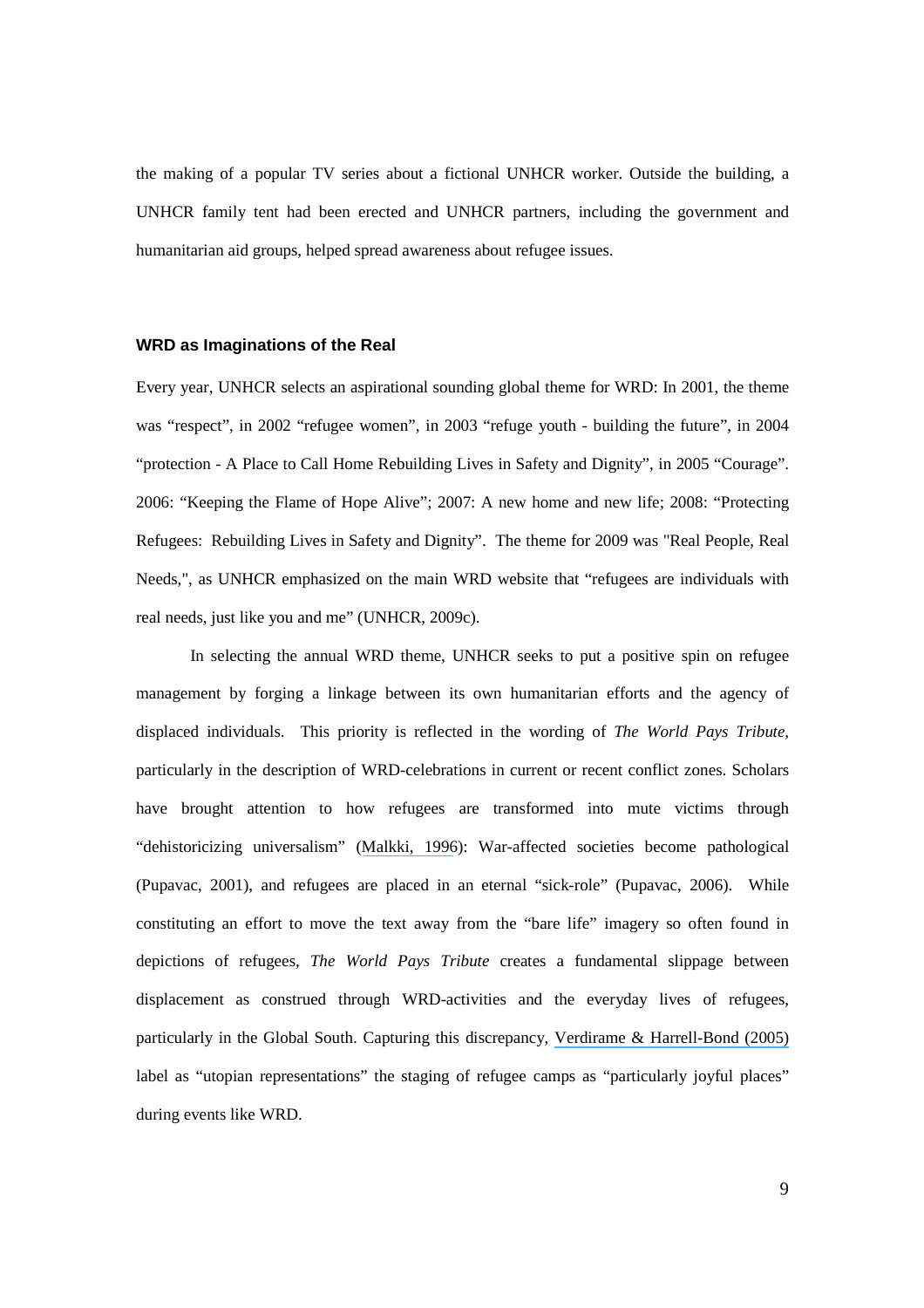the making of a popular TV series about a fictional UNHCR worker. Outside the building, a UNHCR family tent had been erected and UNHCR partners, including the government and humanitarian aid groups, helped spread awareness about refugee issues.

### **WRD as Imaginations of the Real**

Every year, UNHCR selects an aspirational sounding global theme for WRD: In 2001, the theme was "respect", in 2002 "refugee women", in 2003 "refuge youth - building the future", in 2004 "protection - A Place to Call Home Rebuilding Lives in Safety and Dignity", in 2005 "Courage". 2006: "Keeping the Flame of Hope Alive"; 2007: A new home and new life; 2008: "Protecting Refugees: Rebuilding Lives in Safety and Dignity". The theme for 2009 was "Real People, Real Needs,", as UNHCR emphasized on the main WRD website that "refugees are individuals with real needs, just like you and me" (UNHCR, 2009c).

In selecting the annual WRD theme, UNHCR seeks to put a positive spin on refugee management by forging a linkage between its own humanitarian efforts and the agency of displaced individuals. This priority is reflected in the wording of *The World Pays Tribute,*  particularly in the description of WRD-celebrations in current or recent conflict zones. Scholars have brought attention to how refugees are transformed into mute victims through "dehistoricizing universalism" ([Malkki, 1996](https://www.researchgate.net/publication/249426026_Speechless_Emissaries_Refugees_Humanitarianism_and_Dehistoricization?el=1_x_8&enrichId=rgreq-6e5167d6e7a3f11ec0be6a6746472a30-XXX&enrichSource=Y292ZXJQYWdlOzI0MDU5MzEwNjtBUzoyNzEwMzQwNDU2OTM5NTJAMTQ0MTYzMDk2MDEzMg==)): War-affected societies become pathological (Pupavac, 2001), and refugees are placed in an eternal "sick-role" (Pupavac, 2006). While constituting an effort to move the text away from the "bare life" imagery so often found in depictions of refugees, *The World Pays Tribute* creates a fundamental slippage between displacement as construed through WRD-activities and the everyday lives of refugees, particularly in the Global South. Capturing this discrepancy, [Verdirame & Harrell-Bond \(2005\)](https://www.researchgate.net/publication/290976949_Rights_in_exile_Janus-faced_humanitarianism?el=1_x_8&enrichId=rgreq-6e5167d6e7a3f11ec0be6a6746472a30-XXX&enrichSource=Y292ZXJQYWdlOzI0MDU5MzEwNjtBUzoyNzEwMzQwNDU2OTM5NTJAMTQ0MTYzMDk2MDEzMg==) label as "utopian representations" the staging of refugee camps as "particularly joyful places" during events like WRD.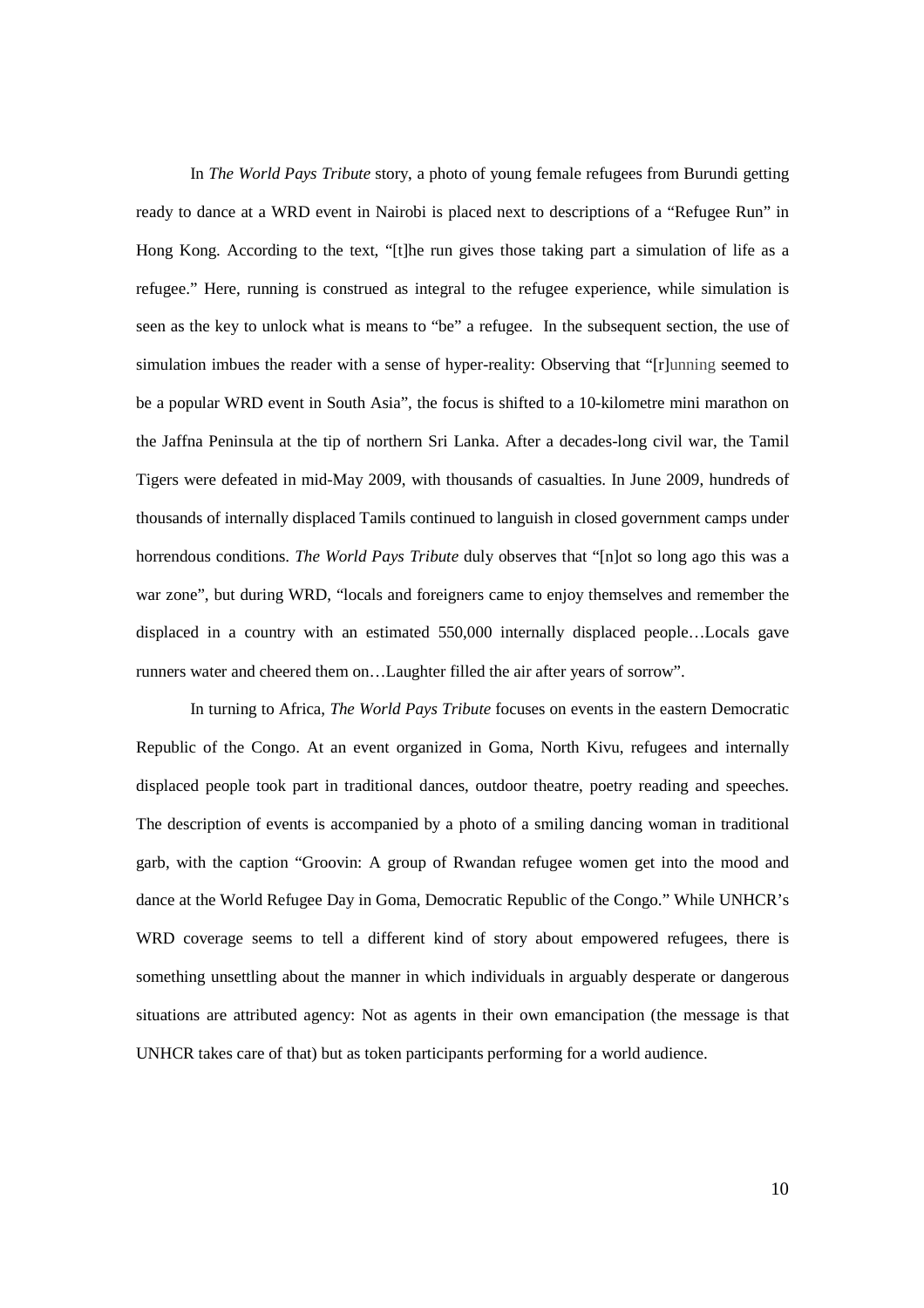In *The World Pays Tribute* story, a photo of young female refugees from Burundi getting ready to dance at a WRD event in Nairobi is placed next to descriptions of a "Refugee Run" in Hong Kong. According to the text, "[t]he run gives those taking part a simulation of life as a refugee." Here, running is construed as integral to the refugee experience, while simulation is seen as the key to unlock what is means to "be" a refugee. In the subsequent section, the use of simulation imbues the reader with a sense of hyper-reality: Observing that "[r]unning seemed to be a popular WRD event in South Asia", the focus is shifted to a 10-kilometre mini marathon on the Jaffna Peninsula at the tip of northern Sri Lanka. After a decades-long civil war, the Tamil Tigers were defeated in mid-May 2009, with thousands of casualties. In June 2009, hundreds of thousands of internally displaced Tamils continued to languish in closed government camps under horrendous conditions. *The World Pays Tribute* duly observes that "[n]ot so long ago this was a war zone", but during WRD, "locals and foreigners came to enjoy themselves and remember the displaced in a country with an estimated 550,000 internally displaced people…Locals gave runners water and cheered them on…Laughter filled the air after years of sorrow".

In turning to Africa, *The World Pays Tribute* focuses on events in the eastern Democratic Republic of the Congo. At an event organized in Goma, North Kivu, refugees and internally displaced people took part in traditional dances, outdoor theatre, poetry reading and speeches. The description of events is accompanied by a photo of a smiling dancing woman in traditional garb, with the caption "Groovin: A group of Rwandan refugee women get into the mood and dance at the World Refugee Day in Goma, Democratic Republic of the Congo." While UNHCR's WRD coverage seems to tell a different kind of story about empowered refugees, there is something unsettling about the manner in which individuals in arguably desperate or dangerous situations are attributed agency: Not as agents in their own emancipation (the message is that UNHCR takes care of that) but as token participants performing for a world audience.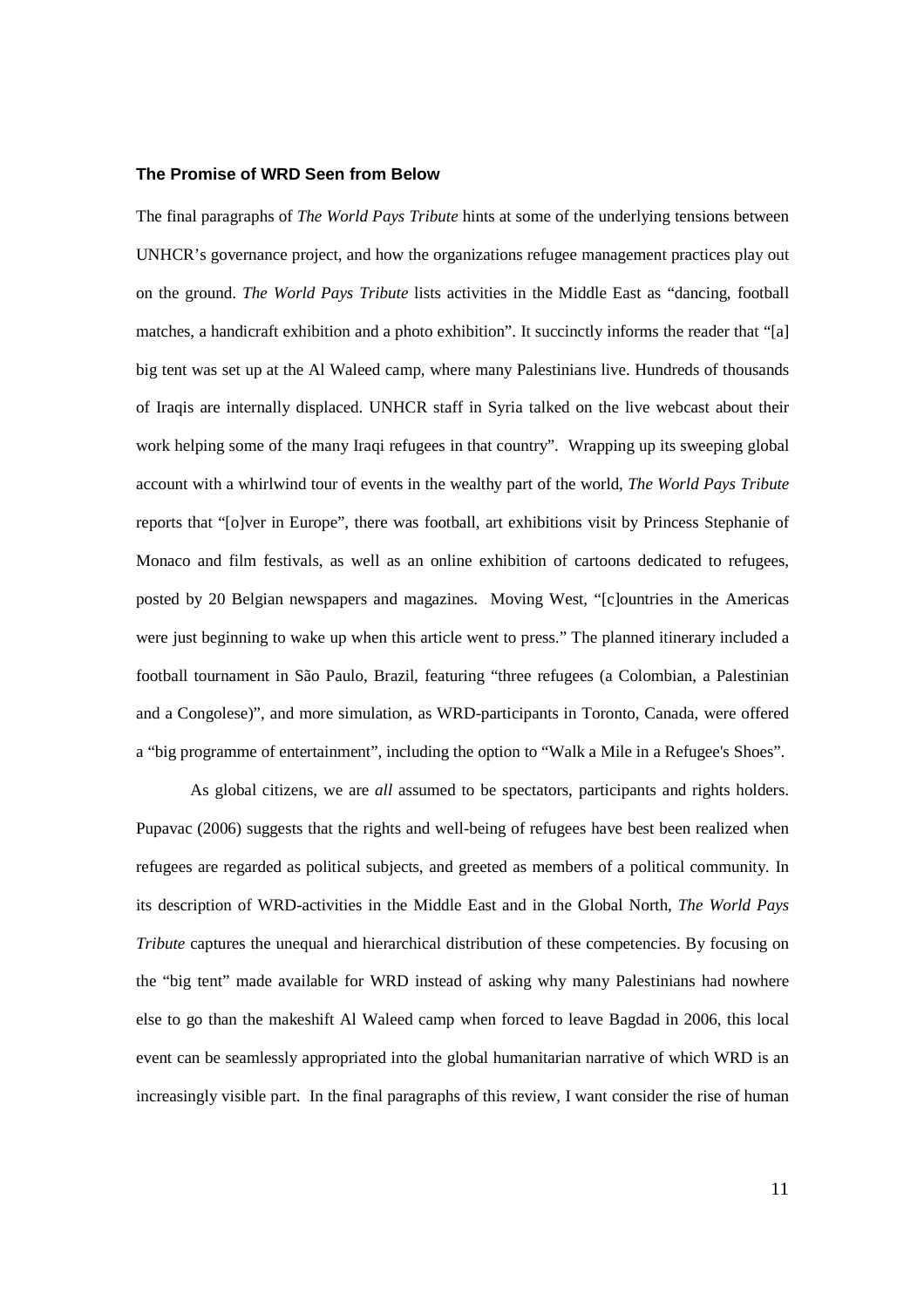### **The Promise of WRD Seen from Below**

The final paragraphs of *The World Pays Tribute* hints at some of the underlying tensions between UNHCR's governance project, and how the organizations refugee management practices play out on the ground. *The World Pays Tribute* lists activities in the Middle East as "dancing, football matches, a handicraft exhibition and a photo exhibition". It succinctly informs the reader that "[a] big tent was set up at the Al Waleed camp, where many Palestinians live. Hundreds of thousands of Iraqis are internally displaced. UNHCR staff in Syria talked on the live webcast about their work helping some of the many Iraqi refugees in that country". Wrapping up its sweeping global account with a whirlwind tour of events in the wealthy part of the world, *The World Pays Tribute*  reports that "[o]ver in Europe", there was football, art exhibitions visit by Princess Stephanie of Monaco and film festivals, as well as an online exhibition of cartoons dedicated to refugees, posted by 20 Belgian newspapers and magazines. Moving West, "[c]ountries in the Americas were just beginning to wake up when this article went to press." The planned itinerary included a football tournament in São Paulo, Brazil, featuring "three refugees (a Colombian, a Palestinian and a Congolese)", and more simulation, as WRD-participants in Toronto, Canada, were offered a "big programme of entertainment", including the option to "Walk a Mile in a Refugee's Shoes".

As global citizens, we are *all* assumed to be spectators, participants and rights holders. Pupavac (2006) suggests that the rights and well-being of refugees have best been realized when refugees are regarded as political subjects, and greeted as members of a political community. In its description of WRD-activities in the Middle East and in the Global North, *The World Pays Tribute* captures the unequal and hierarchical distribution of these competencies. By focusing on the "big tent" made available for WRD instead of asking why many Palestinians had nowhere else to go than the makeshift Al Waleed camp when forced to leave Bagdad in 2006, this local event can be seamlessly appropriated into the global humanitarian narrative of which WRD is an increasingly visible part. In the final paragraphs of this review, I want consider the rise of human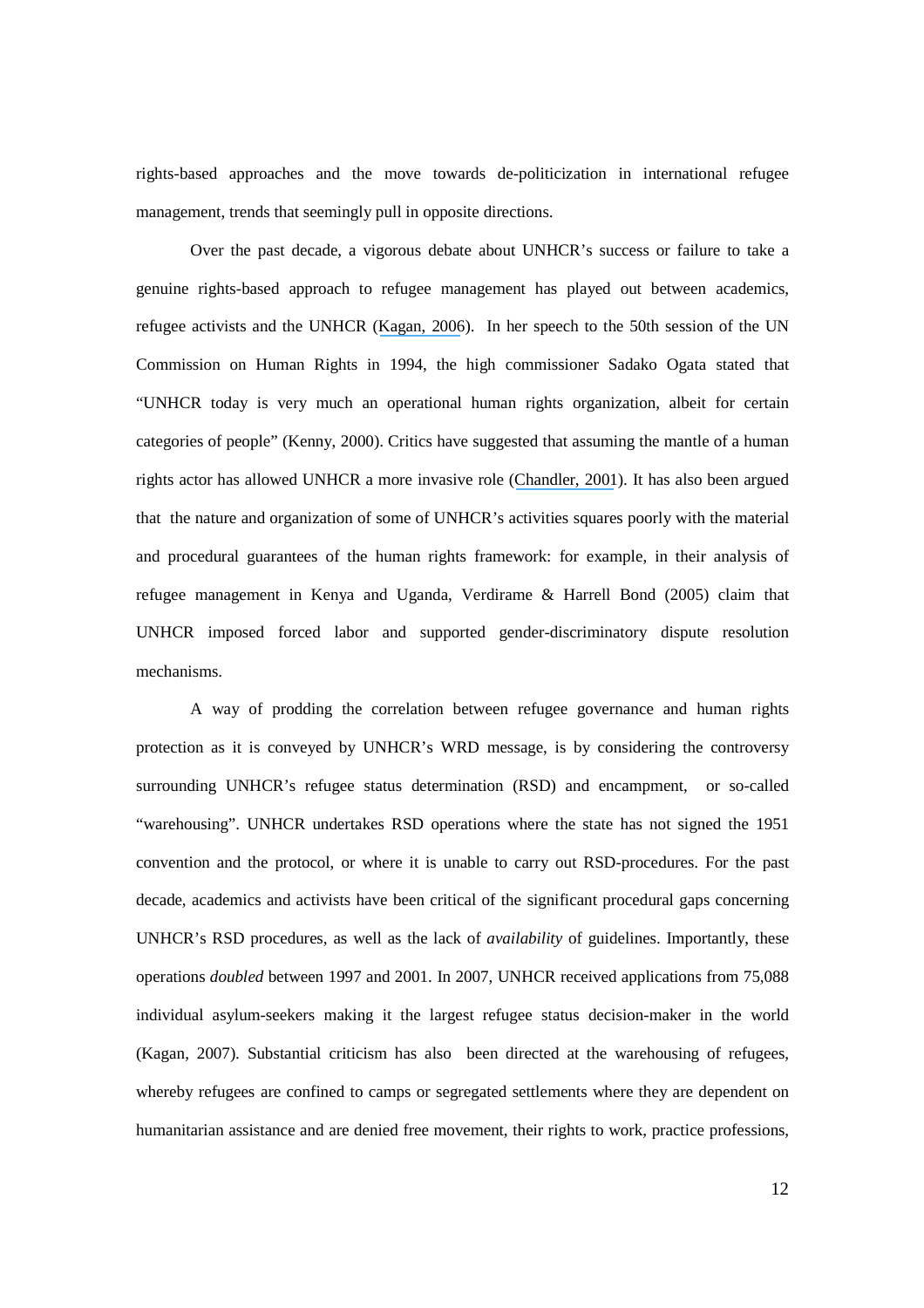rights-based approaches and the move towards de-politicization in international refugee management, trends that seemingly pull in opposite directions.

Over the past decade, a vigorous debate about UNHCR's success or failure to take a genuine rights-based approach to refugee management has played out between academics, refugee activists and the UNHCR ([Kagan, 2006](https://www.researchgate.net/publication/31173963_The_Beleaguered_Gatekeeper_Protection_Challenges_Posed_by_UNHCR_Refugee_Status_Determination?el=1_x_8&enrichId=rgreq-6e5167d6e7a3f11ec0be6a6746472a30-XXX&enrichSource=Y292ZXJQYWdlOzI0MDU5MzEwNjtBUzoyNzEwMzQwNDU2OTM5NTJAMTQ0MTYzMDk2MDEzMg==)). In her speech to the 50th session of the UN Commission on Human Rights in 1994, the high commissioner Sadako Ogata stated that "UNHCR today is very much an operational human rights organization, albeit for certain categories of people" (Kenny, 2000). Critics have suggested that assuming the mantle of a human rights actor has allowed UNHCR a more invasive role ([Chandler, 2001](https://www.researchgate.net/publication/228889040_The_Road_to_Military_Humanitarianism_How_the_Human_Rights_NGOs_Shaped_A_New_Humanitarian_Agenda?el=1_x_8&enrichId=rgreq-6e5167d6e7a3f11ec0be6a6746472a30-XXX&enrichSource=Y292ZXJQYWdlOzI0MDU5MzEwNjtBUzoyNzEwMzQwNDU2OTM5NTJAMTQ0MTYzMDk2MDEzMg==)). It has also been argued that the nature and organization of some of UNHCR's activities squares poorly with the material and procedural guarantees of the human rights framework: for example, in their analysis of refugee management in Kenya and Uganda, Verdirame & Harrell Bond (2005) claim that UNHCR imposed forced labor and supported gender-discriminatory dispute resolution mechanisms.

A way of prodding the correlation between refugee governance and human rights protection as it is conveyed by UNHCR's WRD message, is by considering the controversy surrounding UNHCR's refugee status determination (RSD) and encampment, or so-called "warehousing". UNHCR undertakes RSD operations where the state has not signed the 1951 convention and the protocol, or where it is unable to carry out RSD-procedures. For the past decade, academics and activists have been critical of the significant procedural gaps concerning UNHCR's RSD procedures, as well as the lack of *availability* of guidelines. Importantly, these operations *doubled* between 1997 and 2001. In 2007, UNHCR received applications from 75,088 individual asylum-seekers making it the largest refugee status decision-maker in the world (Kagan, 2007). Substantial criticism has also been directed at the warehousing of refugees, whereby refugees are confined to camps or segregated settlements where they are dependent on humanitarian assistance and are denied free movement, their rights to work, practice professions,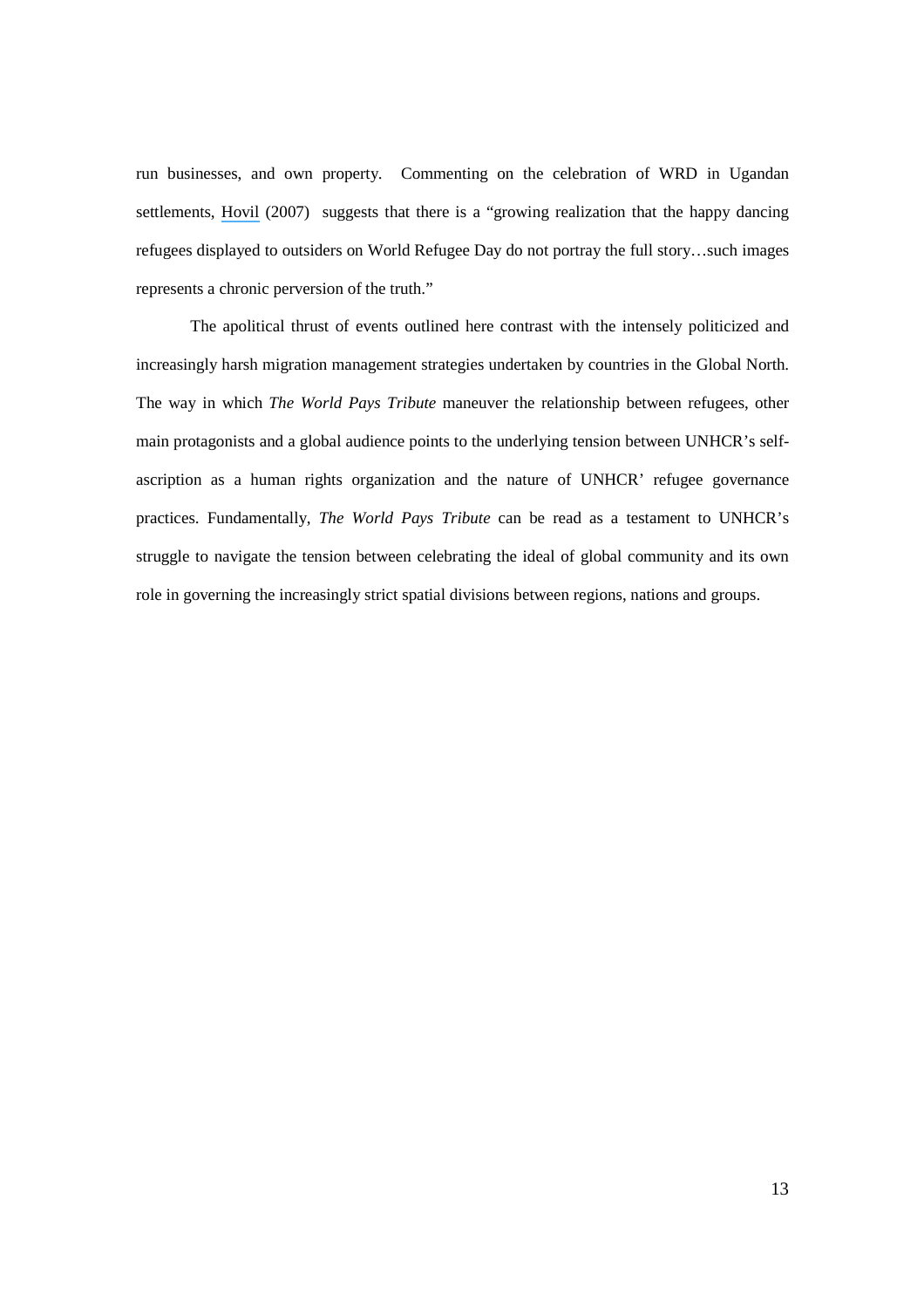run businesses, and own property. Commenting on the celebration of WRD in Ugandan settlements, [Hovil](https://www.researchgate.net/publication/31464206_Self-settled_Refugees_in_Uganda_An_Alternative_Approach_to_Displacement?el=1_x_8&enrichId=rgreq-6e5167d6e7a3f11ec0be6a6746472a30-XXX&enrichSource=Y292ZXJQYWdlOzI0MDU5MzEwNjtBUzoyNzEwMzQwNDU2OTM5NTJAMTQ0MTYzMDk2MDEzMg==) (2007) suggests that there is a "growing realization that the happy dancing refugees displayed to outsiders on World Refugee Day do not portray the full story…such images represents a chronic perversion of the truth."

The apolitical thrust of events outlined here contrast with the intensely politicized and increasingly harsh migration management strategies undertaken by countries in the Global North. The way in which *The World Pays Tribute* maneuver the relationship between refugees, other main protagonists and a global audience points to the underlying tension between UNHCR's selfascription as a human rights organization and the nature of UNHCR' refugee governance practices. Fundamentally, *The World Pays Tribute* can be read as a testament to UNHCR's struggle to navigate the tension between celebrating the ideal of global community and its own role in governing the increasingly strict spatial divisions between regions, nations and groups.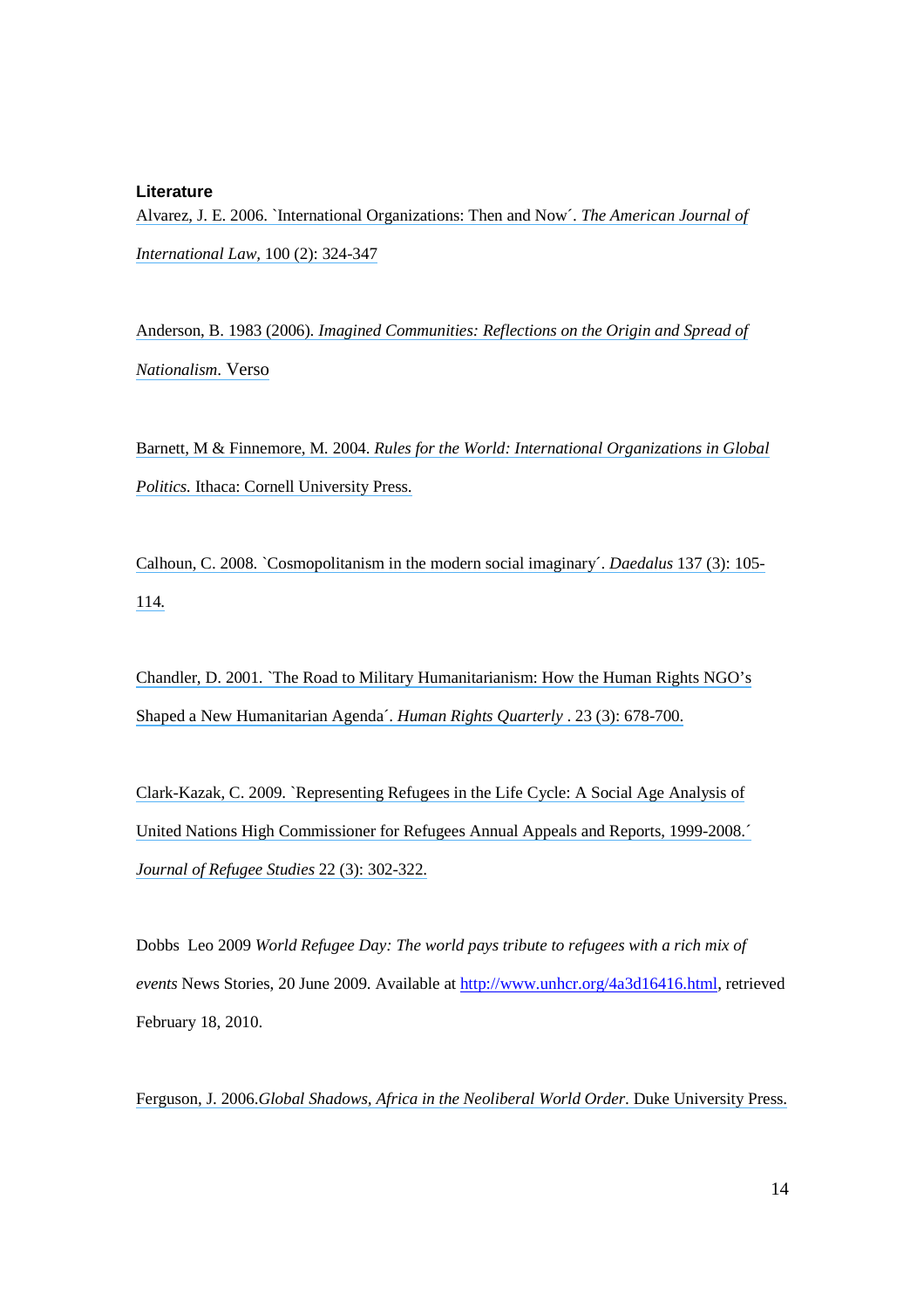### **Literature**

[Alvarez, J. E. 2006. `International Organizations: Then and Now´.](https://www.researchgate.net/publication/295585515_International_organizations_Then_and_now?el=1_x_8&enrichId=rgreq-6e5167d6e7a3f11ec0be6a6746472a30-XXX&enrichSource=Y292ZXJQYWdlOzI0MDU5MzEwNjtBUzoyNzEwMzQwNDU2OTM5NTJAMTQ0MTYzMDk2MDEzMg==) *The American Journal of [International Law,](https://www.researchgate.net/publication/295585515_International_organizations_Then_and_now?el=1_x_8&enrichId=rgreq-6e5167d6e7a3f11ec0be6a6746472a30-XXX&enrichSource=Y292ZXJQYWdlOzI0MDU5MzEwNjtBUzoyNzEwMzQwNDU2OTM5NTJAMTQ0MTYzMDk2MDEzMg==)* 100 (2): 324-347

Anderson, B. 1983 (2006). *[Imagined Communities: Reflections on the Origin and Spread of](https://www.researchgate.net/publication/31718435_Imagined_Communities_Reflections_on_the_Origin_and_Spread_of_Nationalism?el=1_x_8&enrichId=rgreq-6e5167d6e7a3f11ec0be6a6746472a30-XXX&enrichSource=Y292ZXJQYWdlOzI0MDU5MzEwNjtBUzoyNzEwMzQwNDU2OTM5NTJAMTQ0MTYzMDk2MDEzMg==)  [Nationalism](https://www.researchgate.net/publication/31718435_Imagined_Communities_Reflections_on_the_Origin_and_Spread_of_Nationalism?el=1_x_8&enrichId=rgreq-6e5167d6e7a3f11ec0be6a6746472a30-XXX&enrichSource=Y292ZXJQYWdlOzI0MDU5MzEwNjtBUzoyNzEwMzQwNDU2OTM5NTJAMTQ0MTYzMDk2MDEzMg==)*. Verso

Barnett, M & Finnemore, M. 2004. *[Rules for the World: International Organizations in Global](https://www.researchgate.net/publication/269532549_Rules_for_the_World_International_Organizations_in_Global_Politics?el=1_x_8&enrichId=rgreq-6e5167d6e7a3f11ec0be6a6746472a30-XXX&enrichSource=Y292ZXJQYWdlOzI0MDU5MzEwNjtBUzoyNzEwMzQwNDU2OTM5NTJAMTQ0MTYzMDk2MDEzMg==) Politics.* [Ithaca: Cornell University Press.](https://www.researchgate.net/publication/269532549_Rules_for_the_World_International_Organizations_in_Global_Politics?el=1_x_8&enrichId=rgreq-6e5167d6e7a3f11ec0be6a6746472a30-XXX&enrichSource=Y292ZXJQYWdlOzI0MDU5MzEwNjtBUzoyNzEwMzQwNDU2OTM5NTJAMTQ0MTYzMDk2MDEzMg==)

[Calhoun, C. 2008. `Cosmopolitanism in the modern social imaginary´.](https://www.researchgate.net/publication/249559750_Cosmopolitanism_in_the_Modern_Imaginary?el=1_x_8&enrichId=rgreq-6e5167d6e7a3f11ec0be6a6746472a30-XXX&enrichSource=Y292ZXJQYWdlOzI0MDU5MzEwNjtBUzoyNzEwMzQwNDU2OTM5NTJAMTQ0MTYzMDk2MDEzMg==) *Daedalus* 137 (3): 105- [114.](https://www.researchgate.net/publication/249559750_Cosmopolitanism_in_the_Modern_Imaginary?el=1_x_8&enrichId=rgreq-6e5167d6e7a3f11ec0be6a6746472a30-XXX&enrichSource=Y292ZXJQYWdlOzI0MDU5MzEwNjtBUzoyNzEwMzQwNDU2OTM5NTJAMTQ0MTYzMDk2MDEzMg==)

[Chandler, D. 2001. `The Road to Military Humanitarianism: How the Human Rights NGO's](https://www.researchgate.net/publication/228889040_The_Road_to_Military_Humanitarianism_How_the_Human_Rights_NGOs_Shaped_A_New_Humanitarian_Agenda?el=1_x_8&enrichId=rgreq-6e5167d6e7a3f11ec0be6a6746472a30-XXX&enrichSource=Y292ZXJQYWdlOzI0MDU5MzEwNjtBUzoyNzEwMzQwNDU2OTM5NTJAMTQ0MTYzMDk2MDEzMg==) [Shaped a New Humanitarian Agenda´.](https://www.researchgate.net/publication/228889040_The_Road_to_Military_Humanitarianism_How_the_Human_Rights_NGOs_Shaped_A_New_Humanitarian_Agenda?el=1_x_8&enrichId=rgreq-6e5167d6e7a3f11ec0be6a6746472a30-XXX&enrichSource=Y292ZXJQYWdlOzI0MDU5MzEwNjtBUzoyNzEwMzQwNDU2OTM5NTJAMTQ0MTYzMDk2MDEzMg==) *Human Rights Quarterly* . 23 (3): 678-700.

[Clark-Kazak, C. 2009. `Representing Refugees in the Life Cycle: A Social Age Analysis of](https://www.researchgate.net/publication/31364164_Representing_Refugees_in_the_Life_Cycle_A_Social_Age_Analysis_of_United_Nations_High_Commissioner_for_Refugees_Annual_Reports_and_Appeals_1999-2008?el=1_x_8&enrichId=rgreq-6e5167d6e7a3f11ec0be6a6746472a30-XXX&enrichSource=Y292ZXJQYWdlOzI0MDU5MzEwNjtBUzoyNzEwMzQwNDU2OTM5NTJAMTQ0MTYzMDk2MDEzMg==)  [United Nations High Commissioner for Refugees Annual Appeals and Reports, 1999-2008.´](https://www.researchgate.net/publication/31364164_Representing_Refugees_in_the_Life_Cycle_A_Social_Age_Analysis_of_United_Nations_High_Commissioner_for_Refugees_Annual_Reports_and_Appeals_1999-2008?el=1_x_8&enrichId=rgreq-6e5167d6e7a3f11ec0be6a6746472a30-XXX&enrichSource=Y292ZXJQYWdlOzI0MDU5MzEwNjtBUzoyNzEwMzQwNDU2OTM5NTJAMTQ0MTYzMDk2MDEzMg==)  *[Journal of Refugee Studies](https://www.researchgate.net/publication/31364164_Representing_Refugees_in_the_Life_Cycle_A_Social_Age_Analysis_of_United_Nations_High_Commissioner_for_Refugees_Annual_Reports_and_Appeals_1999-2008?el=1_x_8&enrichId=rgreq-6e5167d6e7a3f11ec0be6a6746472a30-XXX&enrichSource=Y292ZXJQYWdlOzI0MDU5MzEwNjtBUzoyNzEwMzQwNDU2OTM5NTJAMTQ0MTYzMDk2MDEzMg==)* 22 (3): 302-322.

Dobbs Leo 2009 *World Refugee Day: The world pays tribute to refugees with a rich mix of events* News Stories, 20 June 2009. Available at http://www.unhcr.org/4a3d16416.html, retrieved February 18, 2010.

Ferguson, J. 2006.*[Global Shadows, Africa in the Neoliberal World Order](https://www.researchgate.net/publication/37720393_Global_Shadows_Africa_in_the_Neo-Liberal_World_Order?el=1_x_8&enrichId=rgreq-6e5167d6e7a3f11ec0be6a6746472a30-XXX&enrichSource=Y292ZXJQYWdlOzI0MDU5MzEwNjtBUzoyNzEwMzQwNDU2OTM5NTJAMTQ0MTYzMDk2MDEzMg==)*. Duke University Press.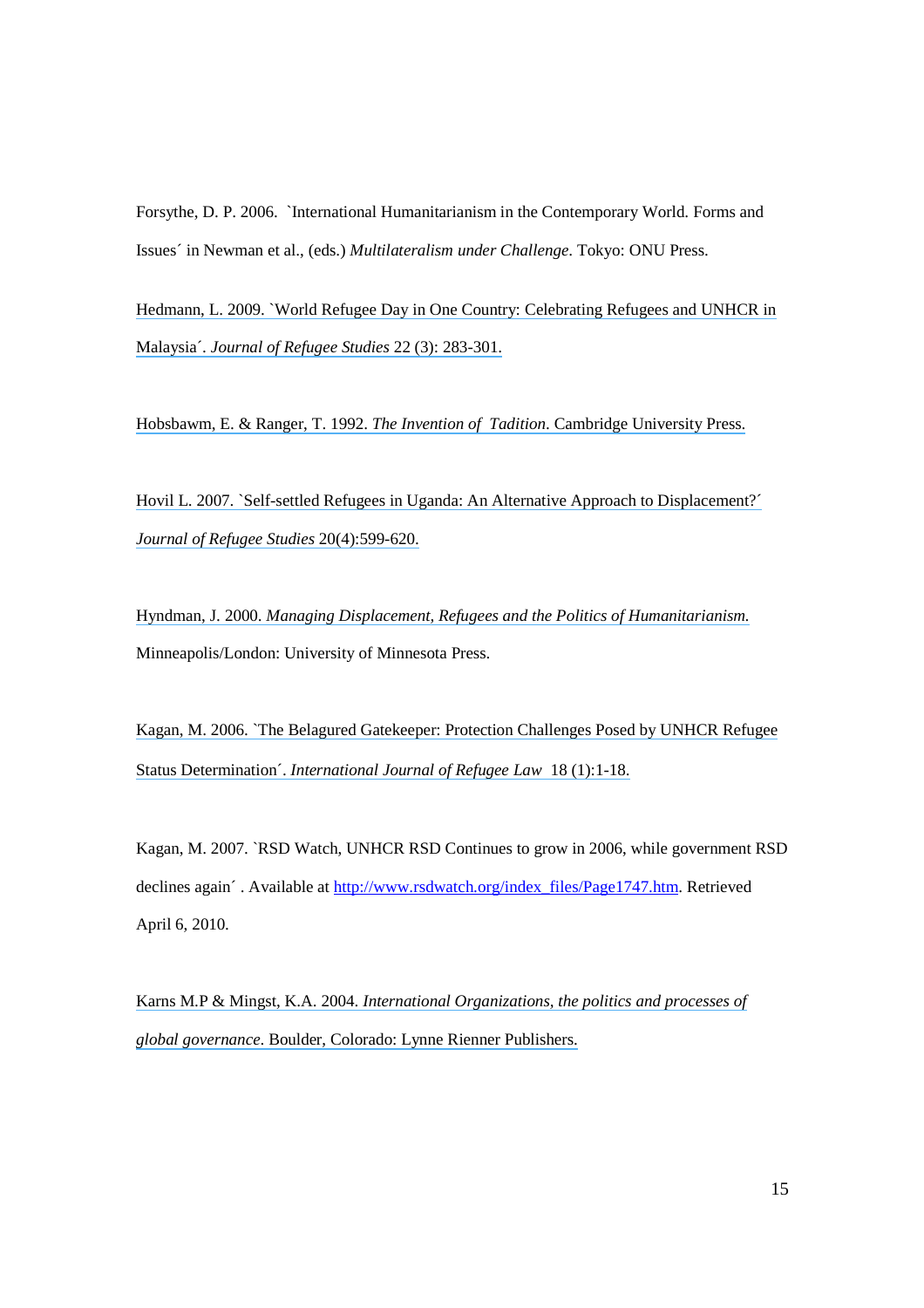Forsythe, D. P. 2006. `International Humanitarianism in the Contemporary World. Forms and Issues´ in Newman et al., (eds.) *Multilateralism under Challenge*. Tokyo: ONU Press.

[Hedmann, L. 2009. `World Refugee Day in One Country: Celebrating Refugees and UNHCR in](https://www.researchgate.net/publication/31364170_World_Refugee_Day_in_One_Country_Celebrating_Refugees_and_UNHCR_in_Malaysia?el=1_x_8&enrichId=rgreq-6e5167d6e7a3f11ec0be6a6746472a30-XXX&enrichSource=Y292ZXJQYWdlOzI0MDU5MzEwNjtBUzoyNzEwMzQwNDU2OTM5NTJAMTQ0MTYzMDk2MDEzMg==)  Malaysia´. *[Journal of Refugee Studies](https://www.researchgate.net/publication/31364170_World_Refugee_Day_in_One_Country_Celebrating_Refugees_and_UNHCR_in_Malaysia?el=1_x_8&enrichId=rgreq-6e5167d6e7a3f11ec0be6a6746472a30-XXX&enrichSource=Y292ZXJQYWdlOzI0MDU5MzEwNjtBUzoyNzEwMzQwNDU2OTM5NTJAMTQ0MTYzMDk2MDEzMg==)* 22 (3): 283-301.

[Hobsbawm, E. & Ranger, T. 1992.](https://www.researchgate.net/publication/200507480_The_Invention_of_Traditio?el=1_x_8&enrichId=rgreq-6e5167d6e7a3f11ec0be6a6746472a30-XXX&enrichSource=Y292ZXJQYWdlOzI0MDU5MzEwNjtBUzoyNzEwMzQwNDU2OTM5NTJAMTQ0MTYzMDk2MDEzMg==) *The Invention of Tadition*. Cambridge University Press.

[Hovil L. 2007. `Self-settled Refugees in Uganda: An Alternative Approach to Displacement?´](https://www.researchgate.net/publication/31464206_Self-settled_Refugees_in_Uganda_An_Alternative_Approach_to_Displacement?el=1_x_8&enrichId=rgreq-6e5167d6e7a3f11ec0be6a6746472a30-XXX&enrichSource=Y292ZXJQYWdlOzI0MDU5MzEwNjtBUzoyNzEwMzQwNDU2OTM5NTJAMTQ0MTYzMDk2MDEzMg==)  *[Journal of Refugee Studies](https://www.researchgate.net/publication/31464206_Self-settled_Refugees_in_Uganda_An_Alternative_Approach_to_Displacement?el=1_x_8&enrichId=rgreq-6e5167d6e7a3f11ec0be6a6746472a30-XXX&enrichSource=Y292ZXJQYWdlOzI0MDU5MzEwNjtBUzoyNzEwMzQwNDU2OTM5NTJAMTQ0MTYzMDk2MDEzMg==)* 20(4):599-620.

Hyndman, J. 2000. *[Managing Displacement, Refugees and the Politics of Humanitarianism.](https://www.researchgate.net/publication/263843120_Managing_Displacement_Refugees_and_the_Politics_of_Humanitarianism_Borderlines?el=1_x_8&enrichId=rgreq-6e5167d6e7a3f11ec0be6a6746472a30-XXX&enrichSource=Y292ZXJQYWdlOzI0MDU5MzEwNjtBUzoyNzEwMzQwNDU2OTM5NTJAMTQ0MTYzMDk2MDEzMg==)*  Minneapolis/London: University of Minnesota Press.

[Kagan, M. 2006. `The Belagured Gatekeeper: Protection Challenges Posed by UNHCR Refugee](https://www.researchgate.net/publication/31173963_The_Beleaguered_Gatekeeper_Protection_Challenges_Posed_by_UNHCR_Refugee_Status_Determination?el=1_x_8&enrichId=rgreq-6e5167d6e7a3f11ec0be6a6746472a30-XXX&enrichSource=Y292ZXJQYWdlOzI0MDU5MzEwNjtBUzoyNzEwMzQwNDU2OTM5NTJAMTQ0MTYzMDk2MDEzMg==) Status Determination´. *[International Journal of Refugee Law](https://www.researchgate.net/publication/31173963_The_Beleaguered_Gatekeeper_Protection_Challenges_Posed_by_UNHCR_Refugee_Status_Determination?el=1_x_8&enrichId=rgreq-6e5167d6e7a3f11ec0be6a6746472a30-XXX&enrichSource=Y292ZXJQYWdlOzI0MDU5MzEwNjtBUzoyNzEwMzQwNDU2OTM5NTJAMTQ0MTYzMDk2MDEzMg==)* 18 (1):1-18.

Kagan, M. 2007. `RSD Watch, UNHCR RSD Continues to grow in 2006, while government RSD declines again´ . Available at http://www.rsdwatch.org/index\_files/Page1747.htm. Retrieved April 6, 2010.

Karns M.P & Mingst, K.A. 2004. *[International Organizations, the politics and processes of](https://www.researchgate.net/publication/237391867_International_Organizations_The_Politics_and_Processes_of_Global_Governance?el=1_x_8&enrichId=rgreq-6e5167d6e7a3f11ec0be6a6746472a30-XXX&enrichSource=Y292ZXJQYWdlOzI0MDU5MzEwNjtBUzoyNzEwMzQwNDU2OTM5NTJAMTQ0MTYzMDk2MDEzMg==)  global governance*[. Boulder, Colorado: Lynne Rienner Publishers.](https://www.researchgate.net/publication/237391867_International_Organizations_The_Politics_and_Processes_of_Global_Governance?el=1_x_8&enrichId=rgreq-6e5167d6e7a3f11ec0be6a6746472a30-XXX&enrichSource=Y292ZXJQYWdlOzI0MDU5MzEwNjtBUzoyNzEwMzQwNDU2OTM5NTJAMTQ0MTYzMDk2MDEzMg==)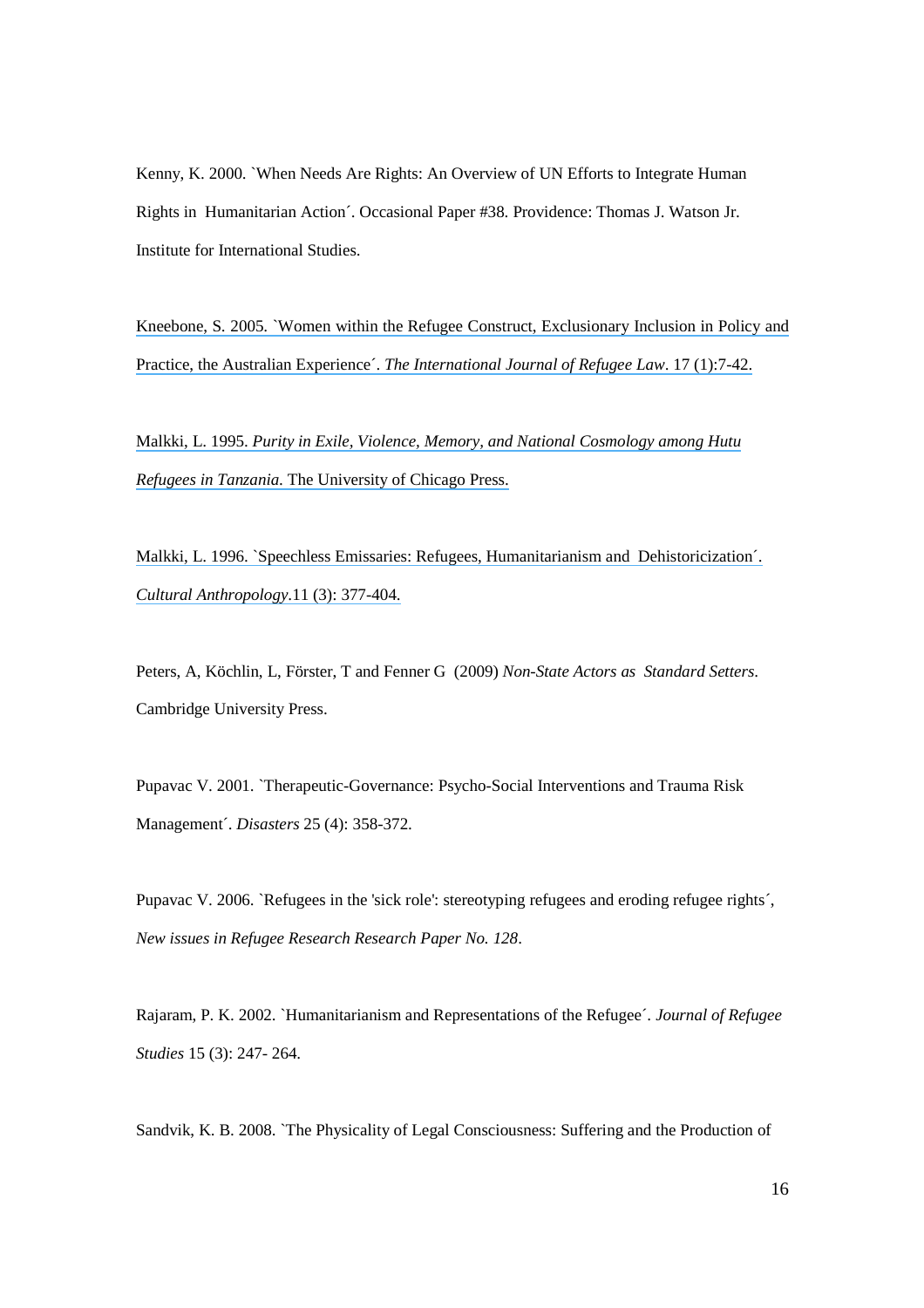Kenny, K. 2000. `When Needs Are Rights: An Overview of UN Efforts to Integrate Human Rights in Humanitarian Action´. Occasional Paper #38. Providence: Thomas J. Watson Jr. Institute for International Studies.

[Kneebone, S. 2005. `Women within the Refugee Construct, Exclusionary Inclusion in Policy and](https://www.researchgate.net/publication/228149392_Women_Within_the_Refugee_Construct_Exclusionary_Inclusion_in_Policy_and_Practice_-_the_Australian_Experience?el=1_x_8&enrichId=rgreq-6e5167d6e7a3f11ec0be6a6746472a30-XXX&enrichSource=Y292ZXJQYWdlOzI0MDU5MzEwNjtBUzoyNzEwMzQwNDU2OTM5NTJAMTQ0MTYzMDk2MDEzMg==) Practice, the Australian Experience´. *[The International Journal of Refugee Law](https://www.researchgate.net/publication/228149392_Women_Within_the_Refugee_Construct_Exclusionary_Inclusion_in_Policy_and_Practice_-_the_Australian_Experience?el=1_x_8&enrichId=rgreq-6e5167d6e7a3f11ec0be6a6746472a30-XXX&enrichSource=Y292ZXJQYWdlOzI0MDU5MzEwNjtBUzoyNzEwMzQwNDU2OTM5NTJAMTQ0MTYzMDk2MDEzMg==)*. 17 (1):7-42.

Malkki, L. 1995. *[Purity in Exile, Violence, Memory, and National Cosmology among Hutu](https://www.researchgate.net/publication/314515553_Purity_and_Exile_Violence_Memory_and_National_Cosmology_Among_Hutu_Refugees_in_Tanzania?el=1_x_8&enrichId=rgreq-6e5167d6e7a3f11ec0be6a6746472a30-XXX&enrichSource=Y292ZXJQYWdlOzI0MDU5MzEwNjtBUzoyNzEwMzQwNDU2OTM5NTJAMTQ0MTYzMDk2MDEzMg==) Refugees in Tanzania*[. The University of Chicago Press.](https://www.researchgate.net/publication/314515553_Purity_and_Exile_Violence_Memory_and_National_Cosmology_Among_Hutu_Refugees_in_Tanzania?el=1_x_8&enrichId=rgreq-6e5167d6e7a3f11ec0be6a6746472a30-XXX&enrichSource=Y292ZXJQYWdlOzI0MDU5MzEwNjtBUzoyNzEwMzQwNDU2OTM5NTJAMTQ0MTYzMDk2MDEzMg==) 

[Malkki, L. 1996. `Speechless Emissaries: Refugees, Humanitarianism and Dehistoricization´.](https://www.researchgate.net/publication/249426026_Speechless_Emissaries_Refugees_Humanitarianism_and_Dehistoricization?el=1_x_8&enrichId=rgreq-6e5167d6e7a3f11ec0be6a6746472a30-XXX&enrichSource=Y292ZXJQYWdlOzI0MDU5MzEwNjtBUzoyNzEwMzQwNDU2OTM5NTJAMTQ0MTYzMDk2MDEzMg==)  *[Cultural Anthropology](https://www.researchgate.net/publication/249426026_Speechless_Emissaries_Refugees_Humanitarianism_and_Dehistoricization?el=1_x_8&enrichId=rgreq-6e5167d6e7a3f11ec0be6a6746472a30-XXX&enrichSource=Y292ZXJQYWdlOzI0MDU5MzEwNjtBUzoyNzEwMzQwNDU2OTM5NTJAMTQ0MTYzMDk2MDEzMg==)*.11 (3): 377-404.

Peters, A, Köchlin, L, Förster, T and Fenner G (2009) *Non-State Actors as Standard Setters*. Cambridge University Press.

Pupavac V. 2001. `Therapeutic-Governance: Psycho-Social Interventions and Trauma Risk Management´. *Disasters* 25 (4): 358-372.

Pupavac V. 2006. `Refugees in the 'sick role': stereotyping refugees and eroding refugee rights´, *New issues in Refugee Research Research Paper No. 128*.

Rajaram, P. K. 2002. `Humanitarianism and Representations of the Refugee´. *Journal of Refugee Studies* 15 (3): 247- 264.

Sandvik, K. B. 2008. `The Physicality of Legal Consciousness: Suffering and the Production of